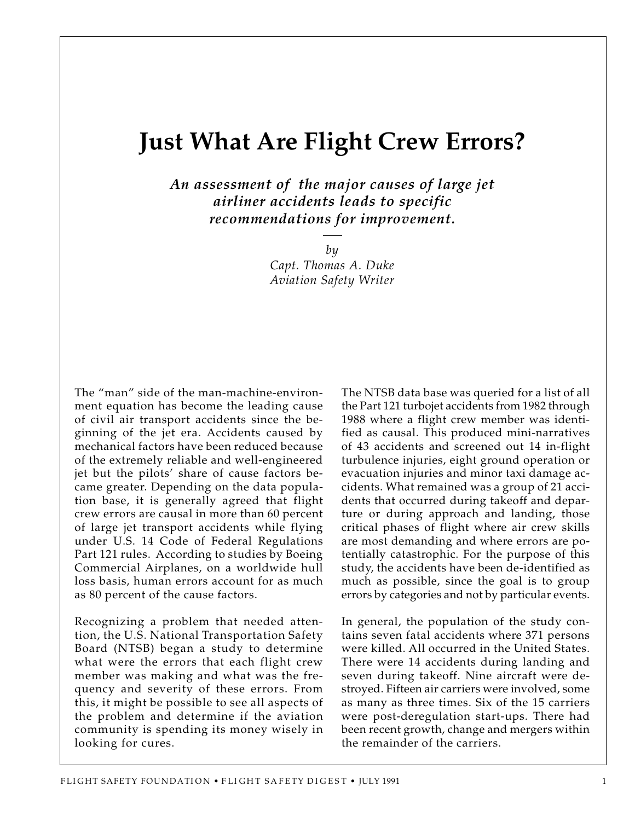## **Just What Are Flight Crew Errors?**

*An assessment of the major causes of large jet airliner accidents leads to specific recommendations for improvement.*

> *by Capt. Thomas A. Duke Aviation Safety Writer*

The "man" side of the man-machine-environment equation has become the leading cause of civil air transport accidents since the beginning of the jet era. Accidents caused by mechanical factors have been reduced because of the extremely reliable and well-engineered jet but the pilots' share of cause factors became greater. Depending on the data population base, it is generally agreed that flight crew errors are causal in more than 60 percent of large jet transport accidents while flying under U.S. 14 Code of Federal Regulations Part 121 rules. According to studies by Boeing Commercial Airplanes, on a worldwide hull loss basis, human errors account for as much as 80 percent of the cause factors.

Recognizing a problem that needed attention, the U.S. National Transportation Safety Board (NTSB) began a study to determine what were the errors that each flight crew member was making and what was the frequency and severity of these errors. From this, it might be possible to see all aspects of the problem and determine if the aviation community is spending its money wisely in looking for cures.

The NTSB data base was queried for a list of all the Part 121 turbojet accidents from 1982 through 1988 where a flight crew member was identified as causal. This produced mini-narratives of 43 accidents and screened out 14 in-flight turbulence injuries, eight ground operation or evacuation injuries and minor taxi damage accidents. What remained was a group of 21 accidents that occurred during takeoff and departure or during approach and landing, those critical phases of flight where air crew skills are most demanding and where errors are potentially catastrophic. For the purpose of this study, the accidents have been de-identified as much as possible, since the goal is to group errors by categories and not by particular events.

In general, the population of the study contains seven fatal accidents where 371 persons were killed. All occurred in the United States. There were 14 accidents during landing and seven during takeoff. Nine aircraft were destroyed. Fifteen air carriers were involved, some as many as three times. Six of the 15 carriers were post-deregulation start-ups. There had been recent growth, change and mergers within the remainder of the carriers.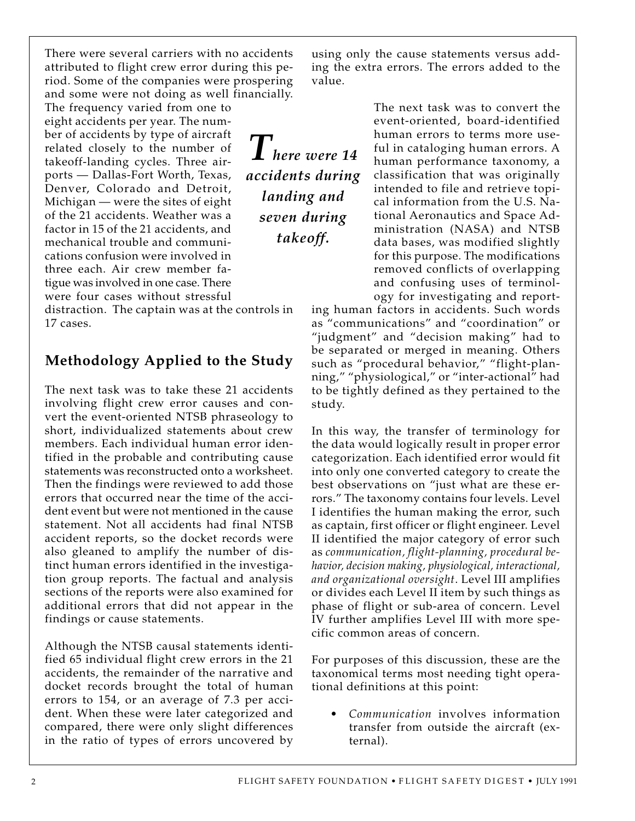There were several carriers with no accidents attributed to flight crew error during this period. Some of the companies were prospering and some were not doing as well financially.

The frequency varied from one to eight accidents per year. The number of accidents by type of aircraft related closely to the number of takeoff-landing cycles. Three airports — Dallas-Fort Worth, Texas, Denver, Colorado and Detroit, Michigan — were the sites of eight of the 21 accidents. Weather was a factor in 15 of the 21 accidents, and mechanical trouble and communications confusion were involved in three each. Air crew member fatigue was involved in one case. There were four cases without stressful

distraction. The captain was at the controls in 17 cases.

## **Methodology Applied to the Study**

The next task was to take these 21 accidents involving flight crew error causes and convert the event-oriented NTSB phraseology to short, individualized statements about crew members. Each individual human error identified in the probable and contributing cause statements was reconstructed onto a worksheet. Then the findings were reviewed to add those errors that occurred near the time of the accident event but were not mentioned in the cause statement. Not all accidents had final NTSB accident reports, so the docket records were also gleaned to amplify the number of distinct human errors identified in the investigation group reports. The factual and analysis sections of the reports were also examined for additional errors that did not appear in the findings or cause statements.

Although the NTSB causal statements identified 65 individual flight crew errors in the 21 accidents, the remainder of the narrative and docket records brought the total of human errors to 154, or an average of 7.3 per accident. When these were later categorized and compared, there were only slight differences in the ratio of types of errors uncovered by using only the cause statements versus adding the extra errors. The errors added to the value.

*There were 14 accidents during landing and seven during takeoff.*

The next task was to convert the event-oriented, board-identified human errors to terms more useful in cataloging human errors. A human performance taxonomy, a classification that was originally intended to file and retrieve topical information from the U.S. National Aeronautics and Space Administration (NASA) and NTSB data bases, was modified slightly for this purpose. The modifications removed conflicts of overlapping and confusing uses of terminology for investigating and report-

ing human factors in accidents. Such words as "communications" and "coordination" or "judgment" and "decision making" had to be separated or merged in meaning. Others such as "procedural behavior," "flight-planning," "physiological," or "inter-actional" had to be tightly defined as they pertained to the study.

In this way, the transfer of terminology for the data would logically result in proper error categorization. Each identified error would fit into only one converted category to create the best observations on "just what are these errors." The taxonomy contains four levels. Level I identifies the human making the error, such as captain, first officer or flight engineer. Level II identified the major category of error such as *communication, flight-planning, procedural behavior, decision making, physiological, interactional, and organizational oversight*. Level III amplifies or divides each Level II item by such things as phase of flight or sub-area of concern. Level IV further amplifies Level III with more specific common areas of concern.

For purposes of this discussion, these are the taxonomical terms most needing tight operational definitions at this point:

• *Communication* involves information transfer from outside the aircraft (external).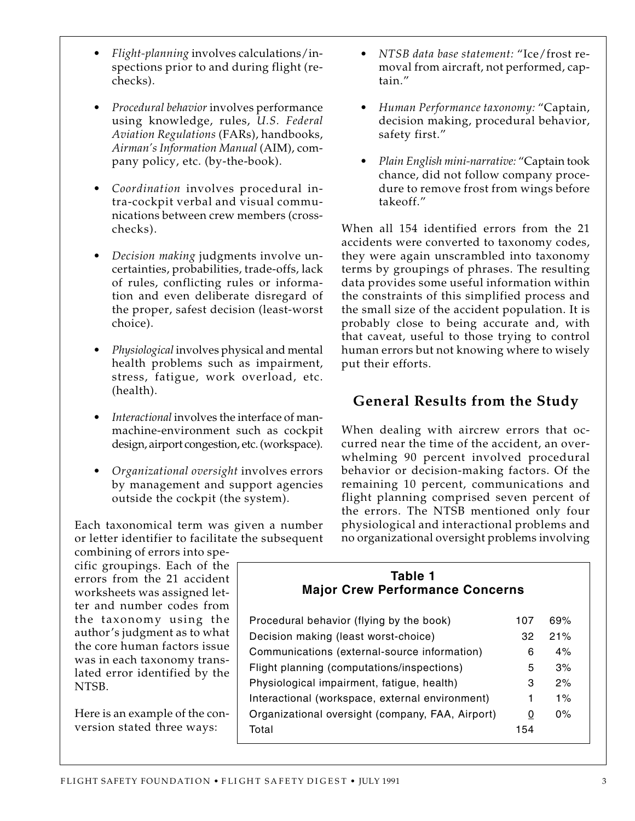- *Flight-planning* involves calculations/inspections prior to and during flight (rechecks).
- *Procedural behavior* involves performance using knowledge, rules, *U.S. Federal Aviation Regulations* (FARs), handbooks, *Airman's Information Manual* (AIM), company policy, etc. (by-the-book).
- *Coordination* involves procedural intra-cockpit verbal and visual communications between crew members (crosschecks).
- *Decision making* judgments involve uncertainties, probabilities, trade-offs, lack of rules, conflicting rules or information and even deliberate disregard of the proper, safest decision (least-worst choice).
- *Physiological* involves physical and mental health problems such as impairment, stress, fatigue, work overload, etc. (health).
- *Interactional* involves the interface of manmachine-environment such as cockpit design, airport congestion, etc. (workspace).
- *Organizational oversight* involves errors by management and support agencies outside the cockpit (the system).

Each taxonomical term was given a number or letter identifier to facilitate the subsequent

combining of errors into specific groupings. Each of the errors from the 21 accident worksheets was assigned letter and number codes from the taxonomy using the author's judgment as to what the core human factors issue was in each taxonomy translated error identified by the NTSB.

Here is an example of the conversion stated three ways:

- *NTSB data base statement:* "Ice/frost removal from aircraft, not performed, captain."
- *Human Performance taxonomy:* "Captain, decision making, procedural behavior, safety first."
- *Plain English mini-narrative:* "Captain took chance, did not follow company procedure to remove frost from wings before takeoff."

When all 154 identified errors from the 21 accidents were converted to taxonomy codes, they were again unscrambled into taxonomy terms by groupings of phrases. The resulting data provides some useful information within the constraints of this simplified process and the small size of the accident population. It is probably close to being accurate and, with that caveat, useful to those trying to control human errors but not knowing where to wisely put their efforts.

## **General Results from the Study**

When dealing with aircrew errors that occurred near the time of the accident, an overwhelming 90 percent involved procedural behavior or decision-making factors. Of the remaining 10 percent, communications and flight planning comprised seven percent of the errors. The NTSB mentioned only four physiological and interactional problems and no organizational oversight problems involving

#### **Table 1 Major Crew Performance Concerns**

| Procedural behavior (flying by the book)         | 107 | 69%   |
|--------------------------------------------------|-----|-------|
| Decision making (least worst-choice)             | 32  | 21%   |
| Communications (external-source information)     | 6   | 4%    |
| Flight planning (computations/inspections)       | 5   | 3%    |
| Physiological impairment, fatigue, health)       | 3   | 2%    |
| Interactional (workspace, external environment)  | 1   | $1\%$ |
| Organizational oversight (company, FAA, Airport) | 0   | $0\%$ |
| Total                                            | 154 |       |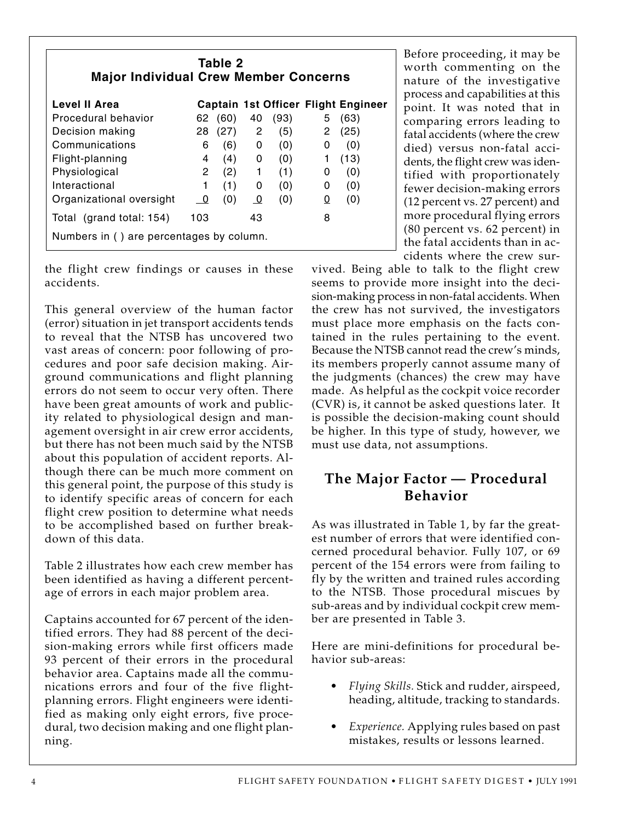| Table 2<br><b>Major Individual Crew Member Concerns</b> |                                          |      |                |      |              |                                     |  |  |  |  |
|---------------------------------------------------------|------------------------------------------|------|----------------|------|--------------|-------------------------------------|--|--|--|--|
| Level II Area                                           |                                          |      |                |      |              | Captain 1st Officer Flight Engineer |  |  |  |  |
| Procedural behavior                                     | 62                                       | (60) | 40             | (93) | 5            | (63)                                |  |  |  |  |
| Decision making                                         | 28                                       | (27) | $2^{\circ}$    | (5)  | $\mathbf{2}$ | (25)                                |  |  |  |  |
| Communications                                          | 6                                        | (6)  | $\mathbf{0}$   | (0)  | 0            | (0)                                 |  |  |  |  |
| Flight-planning                                         | 4                                        | (4)  | $\mathbf{0}$   | (0)  | 1            | (13)                                |  |  |  |  |
| Physiological                                           | $2^{\circ}$                              | (2)  | $\overline{1}$ | (1)  | 0            | (0)                                 |  |  |  |  |
| Interactional                                           | 1                                        | (1)  | 0              | (0)  | 0            | (0)                                 |  |  |  |  |
| Organizational oversight                                | $\overline{\phantom{0}}$                 | (0)  | $\overline{0}$ | (0)  | 0            | (0)                                 |  |  |  |  |
| Total (grand total: 154)                                | 103                                      |      | 43             |      | 8            |                                     |  |  |  |  |
|                                                         | Numbers in () are percentages by column. |      |                |      |              |                                     |  |  |  |  |

the flight crew findings or causes in these accidents.

This general overview of the human factor (error) situation in jet transport accidents tends to reveal that the NTSB has uncovered two vast areas of concern: poor following of procedures and poor safe decision making. Airground communications and flight planning errors do not seem to occur very often. There have been great amounts of work and publicity related to physiological design and management oversight in air crew error accidents, but there has not been much said by the NTSB about this population of accident reports. Although there can be much more comment on this general point, the purpose of this study is to identify specific areas of concern for each flight crew position to determine what needs to be accomplished based on further breakdown of this data.

Table 2 illustrates how each crew member has been identified as having a different percentage of errors in each major problem area.

Captains accounted for 67 percent of the identified errors. They had 88 percent of the decision-making errors while first officers made 93 percent of their errors in the procedural behavior area. Captains made all the communications errors and four of the five flightplanning errors. Flight engineers were identified as making only eight errors, five procedural, two decision making and one flight planning.

Before proceeding, it may be worth commenting on the nature of the investigative process and capabilities at this point. It was noted that in comparing errors leading to fatal accidents (where the crew died) versus non-fatal accidents, the flight crew was identified with proportionately fewer decision-making errors (12 percent vs. 27 percent) and more procedural flying errors (80 percent vs. 62 percent) in the fatal accidents than in accidents where the crew sur-

vived. Being able to talk to the flight crew seems to provide more insight into the decision-making process in non-fatal accidents. When the crew has not survived, the investigators must place more emphasis on the facts contained in the rules pertaining to the event. Because the NTSB cannot read the crew's minds, its members properly cannot assume many of the judgments (chances) the crew may have made. As helpful as the cockpit voice recorder (CVR) is, it cannot be asked questions later. It is possible the decision-making count should be higher. In this type of study, however, we must use data, not assumptions.

## **The Major Factor — Procedural Behavior**

As was illustrated in Table 1, by far the greatest number of errors that were identified concerned procedural behavior. Fully 107, or 69 percent of the 154 errors were from failing to fly by the written and trained rules according to the NTSB. Those procedural miscues by sub-areas and by individual cockpit crew member are presented in Table 3.

Here are mini-definitions for procedural behavior sub-areas:

- *Flying Skills.* Stick and rudder, airspeed, heading, altitude, tracking to standards.
- *Experience.* Applying rules based on past mistakes, results or lessons learned.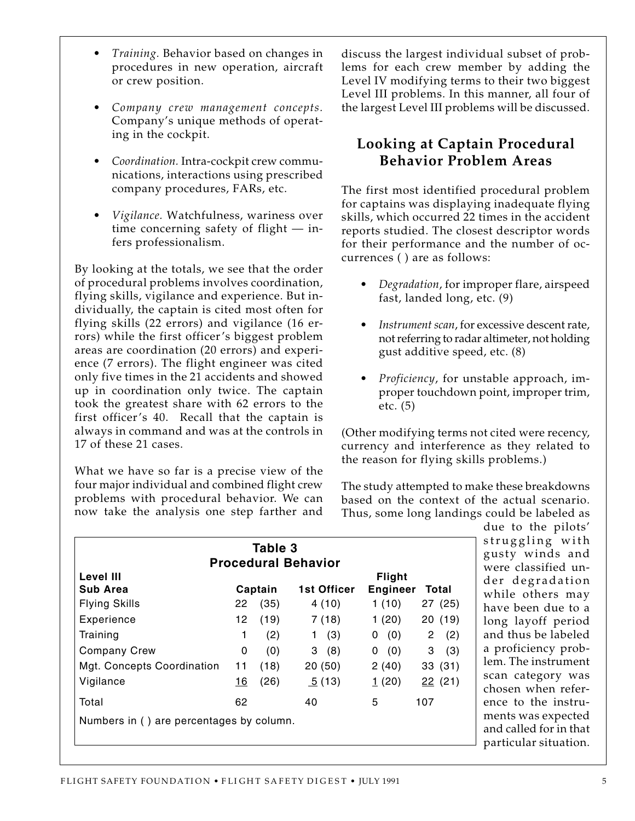time concerning safety of flight — infers professionalism.

• *Training.* Behavior based on changes in procedures in new operation, aircraft

• *Company crew management concepts.* Company's unique methods of operat-

• *Coordination.* Intra-cockpit crew communications, interactions using prescribed

• *Vigilance.* Watchfulness, wariness over

company procedures, FARs, etc.

or crew position.

ing in the cockpit.

By looking at the totals, we see that the order of procedural problems involves coordination, flying skills, vigilance and experience. But individually, the captain is cited most often for flying skills (22 errors) and vigilance (16 errors) while the first officer's biggest problem areas are coordination (20 errors) and experience (7 errors). The flight engineer was cited only five times in the 21 accidents and showed up in coordination only twice. The captain took the greatest share with 62 errors to the first officer's 40. Recall that the captain is always in command and was at the controls in 17 of these 21 cases.

What we have so far is a precise view of the four major individual and combined flight crew problems with procedural behavior. We can now take the analysis one step farther and discuss the largest individual subset of problems for each crew member by adding the Level IV modifying terms to their two biggest Level III problems. In this manner, all four of the largest Level III problems will be discussed.

### **Looking at Captain Procedural Behavior Problem Areas**

The first most identified procedural problem for captains was displaying inadequate flying skills, which occurred 22 times in the accident reports studied. The closest descriptor words for their performance and the number of occurrences ( ) are as follows:

- *Degradation*, for improper flare, airspeed fast, landed long, etc. (9)
- *Instrument scan*, for excessive descent rate, not referring to radar altimeter, not holding gust additive speed, etc. (8)
- *Proficiency*, for unstable approach, improper touchdown point, improper trim, etc. (5)

(Other modifying terms not cited were recency, currency and interference as they related to the reason for flying skills problems.)

The study attempted to make these breakdowns based on the context of the actual scenario. Thus, some long landings could be labeled as

| Table 3<br><b>Procedural Behavior</b>    |    |         |                 |                                  |          |  |  |  |  |
|------------------------------------------|----|---------|-----------------|----------------------------------|----------|--|--|--|--|
| Level III<br>Sub Area                    |    | Captain | 1st Officer     | <b>Flight</b><br><b>Engineer</b> | Total    |  |  |  |  |
| <b>Flying Skills</b>                     | 22 | (35)    | 4(10)           | 1(10)                            | 27(25)   |  |  |  |  |
| Experience                               | 12 | (19)    | 7(18)           | 1(20)                            | 20(19)   |  |  |  |  |
| Training                                 | 1  | (2)     | (3)<br>1        | (0)<br>0                         | 2<br>(2) |  |  |  |  |
| <b>Company Crew</b>                      | 0  | (0)     | 3(8)            | (0)<br>0                         | 3<br>(3) |  |  |  |  |
| Mgt. Concepts Coordination               | 11 | (18)    | 20(50)          | 2(40)                            | 33(31)   |  |  |  |  |
| Vigilance                                | 16 | (26)    | $\sqrt{5}$ (13) | 1(20)                            | 22(21)   |  |  |  |  |
| Total                                    | 62 |         | 40              | 5                                | 107      |  |  |  |  |
| Numbers in () are percentages by column. |    |         |                 |                                  |          |  |  |  |  |

due to the pilots' struggling with gusty winds and were classified under degradation while others may have been due to a long layoff period and thus be labeled a proficiency problem. The instrument scan category was chosen when reference to the instruments was expected and called for in that particular situation.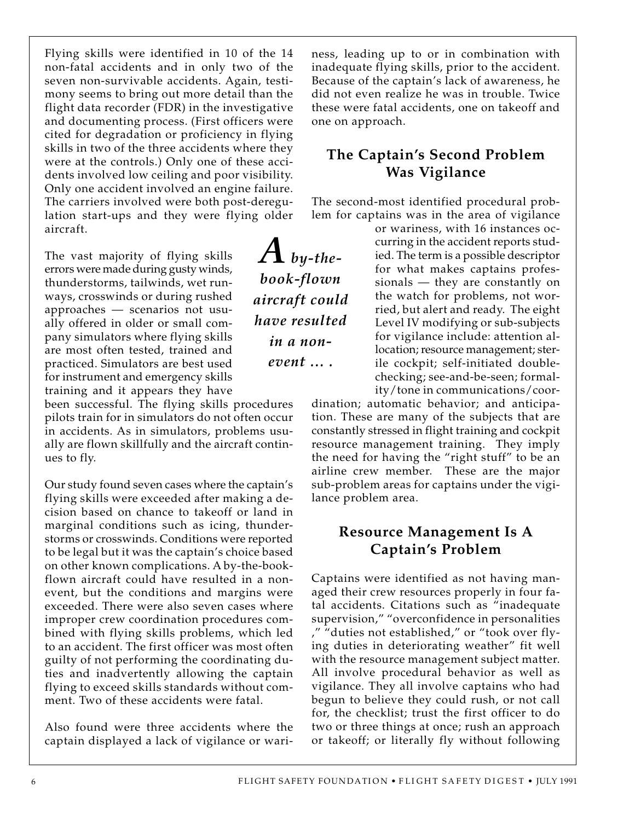Flying skills were identified in 10 of the 14 non-fatal accidents and in only two of the seven non-survivable accidents. Again, testimony seems to bring out more detail than the flight data recorder (FDR) in the investigative and documenting process. (First officers were cited for degradation or proficiency in flying skills in two of the three accidents where they were at the controls.) Only one of these accidents involved low ceiling and poor visibility. Only one accident involved an engine failure. The carriers involved were both post-deregulation start-ups and they were flying older aircraft.

The vast majority of flying skills errors were made during gusty winds, thunderstorms, tailwinds, wet runways, crosswinds or during rushed approaches — scenarios not usually offered in older or small company simulators where flying skills are most often tested, trained and practiced. Simulators are best used for instrument and emergency skills training and it appears they have

been successful. The flying skills procedures pilots train for in simulators do not often occur in accidents. As in simulators, problems usually are flown skillfully and the aircraft continues to fly.

Our study found seven cases where the captain's flying skills were exceeded after making a decision based on chance to takeoff or land in marginal conditions such as icing, thunderstorms or crosswinds. Conditions were reported to be legal but it was the captain's choice based on other known complications. A by-the-bookflown aircraft could have resulted in a nonevent, but the conditions and margins were exceeded. There were also seven cases where improper crew coordination procedures combined with flying skills problems, which led to an accident. The first officer was most often guilty of not performing the coordinating duties and inadvertently allowing the captain flying to exceed skills standards without comment. Two of these accidents were fatal.

Also found were three accidents where the captain displayed a lack of vigilance or wariness, leading up to or in combination with inadequate flying skills, prior to the accident. Because of the captain's lack of awareness, he did not even realize he was in trouble. Twice these were fatal accidents, one on takeoff and one on approach.

## **The Captain's Second Problem Was Vigilance**

The second-most identified procedural problem for captains was in the area of vigilance

> or wariness, with 16 instances occurring in the accident reports studied. The term is a possible descriptor for what makes captains professionals — they are constantly on the watch for problems, not worried, but alert and ready. The eight Level IV modifying or sub-subjects for vigilance include: attention allocation; resource management; sterile cockpit; self-initiated doublechecking; see-and-be-seen; formality/tone in communications/coor-

dination; automatic behavior; and anticipation. These are many of the subjects that are constantly stressed in flight training and cockpit resource management training. They imply the need for having the "right stuff" to be an airline crew member. These are the major sub-problem areas for captains under the vigilance problem area.

## **Resource Management Is A Captain's Problem**

Captains were identified as not having managed their crew resources properly in four fatal accidents. Citations such as "inadequate supervision," "overconfidence in personalities ," "duties not established," or "took over flying duties in deteriorating weather" fit well with the resource management subject matter. All involve procedural behavior as well as vigilance. They all involve captains who had begun to believe they could rush, or not call for, the checklist; trust the first officer to do two or three things at once; rush an approach or takeoff; or literally fly without following

*A by-thebook-flown aircraft could have resulted in a nonevent … .*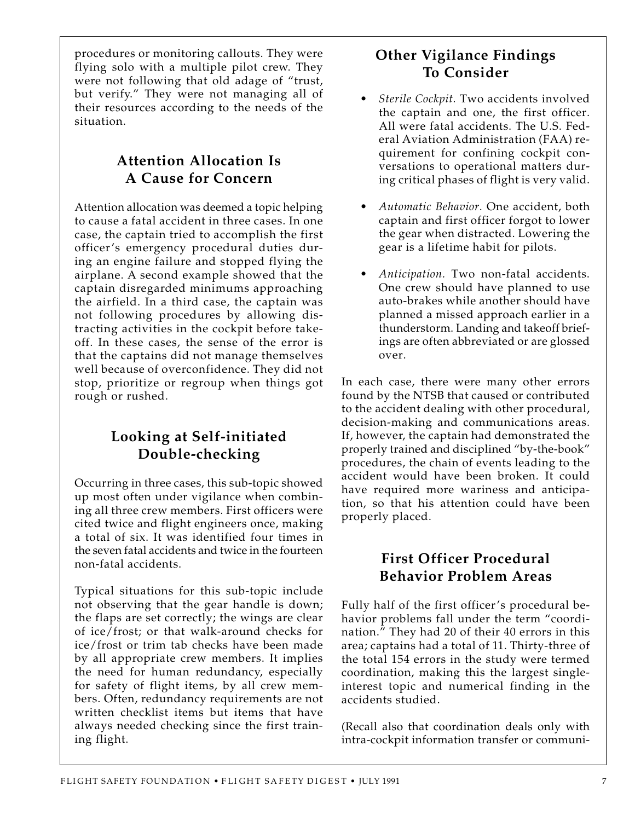procedures or monitoring callouts. They were flying solo with a multiple pilot crew. They were not following that old adage of "trust, but verify." They were not managing all of their resources according to the needs of the situation.

## **Attention Allocation Is A Cause for Concern**

Attention allocation was deemed a topic helping to cause a fatal accident in three cases. In one case, the captain tried to accomplish the first officer's emergency procedural duties during an engine failure and stopped flying the airplane. A second example showed that the captain disregarded minimums approaching the airfield. In a third case, the captain was not following procedures by allowing distracting activities in the cockpit before takeoff. In these cases, the sense of the error is that the captains did not manage themselves well because of overconfidence. They did not stop, prioritize or regroup when things got rough or rushed.

## **Looking at Self-initiated Double-checking**

Occurring in three cases, this sub-topic showed up most often under vigilance when combining all three crew members. First officers were cited twice and flight engineers once, making a total of six. It was identified four times in the seven fatal accidents and twice in the fourteen non-fatal accidents.

Typical situations for this sub-topic include not observing that the gear handle is down; the flaps are set correctly; the wings are clear of ice/frost; or that walk-around checks for ice/frost or trim tab checks have been made by all appropriate crew members. It implies the need for human redundancy, especially for safety of flight items, by all crew members. Often, redundancy requirements are not written checklist items but items that have always needed checking since the first training flight.

## **Other Vigilance Findings To Consider**

- *Sterile Cockpit.* Two accidents involved the captain and one, the first officer. All were fatal accidents. The U.S. Federal Aviation Administration (FAA) requirement for confining cockpit conversations to operational matters during critical phases of flight is very valid.
- *Automatic Behavior.* One accident, both captain and first officer forgot to lower the gear when distracted. Lowering the gear is a lifetime habit for pilots.
- *Anticipation.* Two non-fatal accidents. One crew should have planned to use auto-brakes while another should have planned a missed approach earlier in a thunderstorm. Landing and takeoff briefings are often abbreviated or are glossed over.

In each case, there were many other errors found by the NTSB that caused or contributed to the accident dealing with other procedural, decision-making and communications areas. If, however, the captain had demonstrated the properly trained and disciplined "by-the-book" procedures, the chain of events leading to the accident would have been broken. It could have required more wariness and anticipation, so that his attention could have been properly placed.

## **First Officer Procedural Behavior Problem Areas**

Fully half of the first officer's procedural behavior problems fall under the term "coordination." They had 20 of their 40 errors in this area; captains had a total of 11. Thirty-three of the total 154 errors in the study were termed coordination, making this the largest singleinterest topic and numerical finding in the accidents studied.

(Recall also that coordination deals only with intra-cockpit information transfer or communi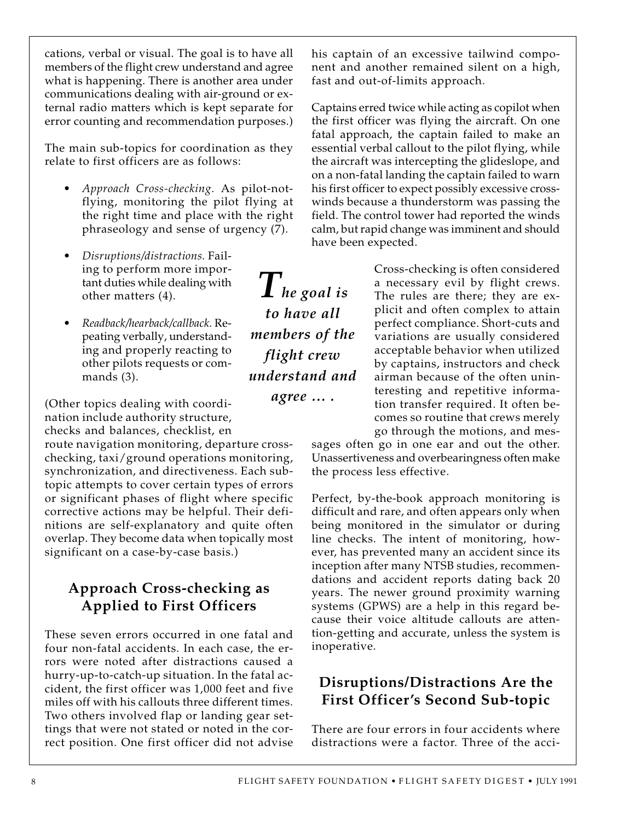cations, verbal or visual. The goal is to have all members of the flight crew understand and agree what is happening. There is another area under communications dealing with air-ground or external radio matters which is kept separate for error counting and recommendation purposes.)

The main sub-topics for coordination as they relate to first officers are as follows:

- *Approach Cross-checking.* As pilot-notflying, monitoring the pilot flying at the right time and place with the right phraseology and sense of urgency (7).
- *Disruptions/distractions.* Failing to perform more important duties while dealing with other matters (4).
- *Readback/hearback/callback.* Repeating verbally, understanding and properly reacting to other pilots requests or commands (3).

(Other topics dealing with coordination include authority structure, checks and balances, checklist, en

route navigation monitoring, departure crosschecking, taxi/ground operations monitoring, synchronization, and directiveness. Each subtopic attempts to cover certain types of errors or significant phases of flight where specific corrective actions may be helpful. Their definitions are self-explanatory and quite often overlap. They become data when topically most significant on a case-by-case basis.)

## **Approach Cross-checking as Applied to First Officers**

These seven errors occurred in one fatal and four non-fatal accidents. In each case, the errors were noted after distractions caused a hurry-up-to-catch-up situation. In the fatal accident, the first officer was 1,000 feet and five miles off with his callouts three different times. Two others involved flap or landing gear settings that were not stated or noted in the correct position. One first officer did not advise

his captain of an excessive tailwind component and another remained silent on a high, fast and out-of-limits approach.

Captains erred twice while acting as copilot when the first officer was flying the aircraft. On one fatal approach, the captain failed to make an essential verbal callout to the pilot flying, while the aircraft was intercepting the glideslope, and on a non-fatal landing the captain failed to warn his first officer to expect possibly excessive crosswinds because a thunderstorm was passing the field. The control tower had reported the winds calm, but rapid change was imminent and should have been expected.

> Cross-checking is often considered a necessary evil by flight crews. The rules are there; they are explicit and often complex to attain perfect compliance. Short-cuts and variations are usually considered acceptable behavior when utilized by captains, instructors and check airman because of the often uninteresting and repetitive information transfer required. It often becomes so routine that crews merely go through the motions, and mes-

sages often go in one ear and out the other. Unassertiveness and overbearingness often make the process less effective.

Perfect, by-the-book approach monitoring is difficult and rare, and often appears only when being monitored in the simulator or during line checks. The intent of monitoring, however, has prevented many an accident since its inception after many NTSB studies, recommendations and accident reports dating back 20 years. The newer ground proximity warning systems (GPWS) are a help in this regard because their voice altitude callouts are attention-getting and accurate, unless the system is inoperative.

## **Disruptions/Distractions Are the First Officer's Second Sub-topic**

There are four errors in four accidents where distractions were a factor. Three of the acci-

*The goal is to have all members of the flight crew understand and*

*agree … .*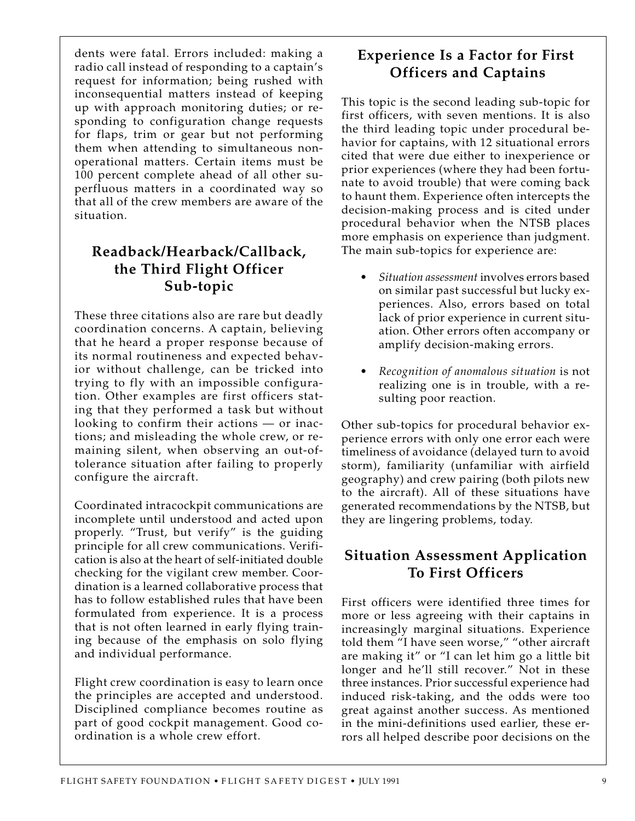dents were fatal. Errors included: making a radio call instead of responding to a captain's request for information; being rushed with inconsequential matters instead of keeping up with approach monitoring duties; or responding to configuration change requests for flaps, trim or gear but not performing them when attending to simultaneous nonoperational matters. Certain items must be 100 percent complete ahead of all other superfluous matters in a coordinated way so that all of the crew members are aware of the situation.

## **Readback/Hearback/Callback, the Third Flight Officer Sub-topic**

These three citations also are rare but deadly coordination concerns. A captain, believing that he heard a proper response because of its normal routineness and expected behavior without challenge, can be tricked into trying to fly with an impossible configuration. Other examples are first officers stating that they performed a task but without looking to confirm their actions — or inactions; and misleading the whole crew, or remaining silent, when observing an out-oftolerance situation after failing to properly configure the aircraft.

Coordinated intracockpit communications are incomplete until understood and acted upon properly. "Trust, but verify" is the guiding principle for all crew communications. Verification is also at the heart of self-initiated double checking for the vigilant crew member. Coordination is a learned collaborative process that has to follow established rules that have been formulated from experience. It is a process that is not often learned in early flying training because of the emphasis on solo flying and individual performance.

Flight crew coordination is easy to learn once the principles are accepted and understood. Disciplined compliance becomes routine as part of good cockpit management. Good coordination is a whole crew effort.

## **Experience Is a Factor for First Officers and Captains**

This topic is the second leading sub-topic for first officers, with seven mentions. It is also the third leading topic under procedural behavior for captains, with 12 situational errors cited that were due either to inexperience or prior experiences (where they had been fortunate to avoid trouble) that were coming back to haunt them. Experience often intercepts the decision-making process and is cited under procedural behavior when the NTSB places more emphasis on experience than judgment. The main sub-topics for experience are:

- *Situation assessment* involves errors based on similar past successful but lucky experiences. Also, errors based on total lack of prior experience in current situation. Other errors often accompany or amplify decision-making errors.
- *Recognition of anomalous situation* is not realizing one is in trouble, with a resulting poor reaction.

Other sub-topics for procedural behavior experience errors with only one error each were timeliness of avoidance (delayed turn to avoid storm), familiarity (unfamiliar with airfield geography) and crew pairing (both pilots new to the aircraft). All of these situations have generated recommendations by the NTSB, but they are lingering problems, today.

## **Situation Assessment Application To First Officers**

First officers were identified three times for more or less agreeing with their captains in increasingly marginal situations. Experience told them "I have seen worse," "other aircraft are making it" or "I can let him go a little bit longer and he'll still recover." Not in these three instances. Prior successful experience had induced risk-taking, and the odds were too great against another success. As mentioned in the mini-definitions used earlier, these errors all helped describe poor decisions on the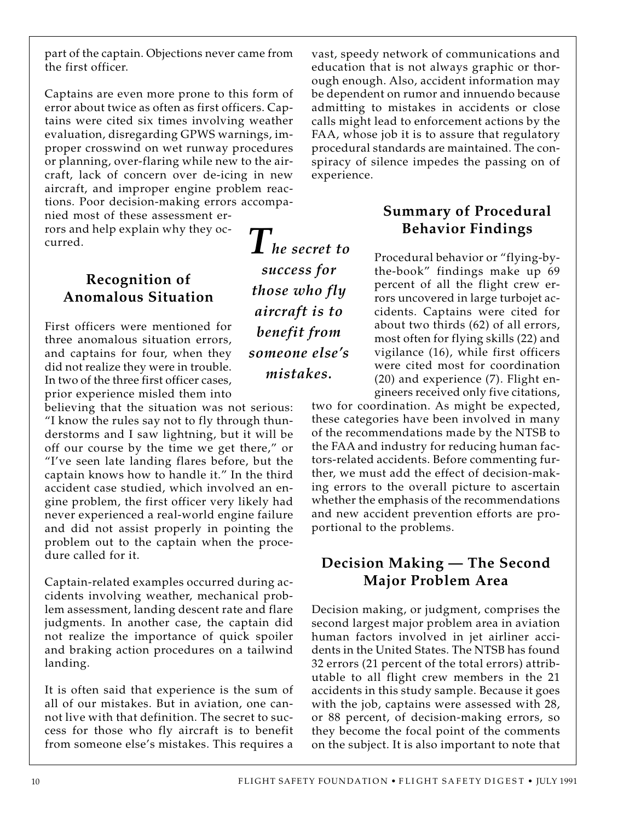part of the captain. Objections never came from the first officer.

Captains are even more prone to this form of error about twice as often as first officers. Captains were cited six times involving weather evaluation, disregarding GPWS warnings, improper crosswind on wet runway procedures or planning, over-flaring while new to the aircraft, lack of concern over de-icing in new aircraft, and improper engine problem reactions. Poor decision-making errors accompa-

nied most of these assessment errors and help explain why they occurred.

## **Recognition of Anomalous Situation**

First officers were mentioned for three anomalous situation errors, and captains for four, when they did not realize they were in trouble. In two of the three first officer cases, prior experience misled them into

believing that the situation was not serious: "I know the rules say not to fly through thunderstorms and I saw lightning, but it will be off our course by the time we get there," or "I've seen late landing flares before, but the captain knows how to handle it." In the third accident case studied, which involved an engine problem, the first officer very likely had never experienced a real-world engine failure and did not assist properly in pointing the problem out to the captain when the procedure called for it.

Captain-related examples occurred during accidents involving weather, mechanical problem assessment, landing descent rate and flare judgments. In another case, the captain did not realize the importance of quick spoiler and braking action procedures on a tailwind landing.

It is often said that experience is the sum of all of our mistakes. But in aviation, one cannot live with that definition. The secret to success for those who fly aircraft is to benefit from someone else's mistakes. This requires a

*The secret to success for those who fly aircraft is to benefit from someone else's mistakes.*

vast, speedy network of communications and education that is not always graphic or thorough enough. Also, accident information may be dependent on rumor and innuendo because admitting to mistakes in accidents or close calls might lead to enforcement actions by the FAA, whose job it is to assure that regulatory procedural standards are maintained. The conspiracy of silence impedes the passing on of experience.

## **Summary of Procedural Behavior Findings**

Procedural behavior or "flying-bythe-book" findings make up 69 percent of all the flight crew errors uncovered in large turbojet accidents. Captains were cited for about two thirds (62) of all errors, most often for flying skills (22) and vigilance (16), while first officers were cited most for coordination (20) and experience (7). Flight engineers received only five citations,

two for coordination. As might be expected, these categories have been involved in many of the recommendations made by the NTSB to the FAA and industry for reducing human factors-related accidents. Before commenting further, we must add the effect of decision-making errors to the overall picture to ascertain whether the emphasis of the recommendations and new accident prevention efforts are proportional to the problems.

## **Decision Making — The Second Major Problem Area**

Decision making, or judgment, comprises the second largest major problem area in aviation human factors involved in jet airliner accidents in the United States. The NTSB has found 32 errors (21 percent of the total errors) attributable to all flight crew members in the 21 accidents in this study sample. Because it goes with the job, captains were assessed with 28, or 88 percent, of decision-making errors, so they become the focal point of the comments on the subject. It is also important to note that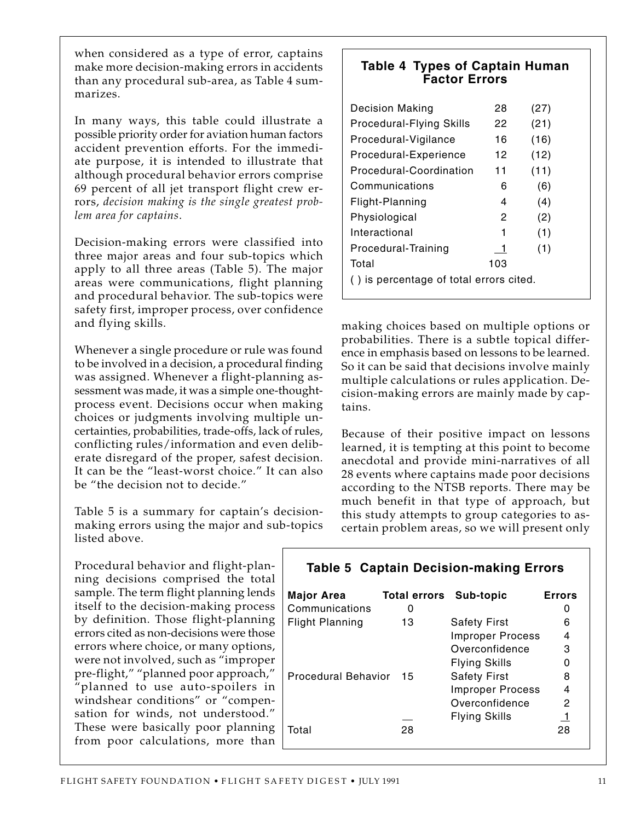when considered as a type of error, captains make more decision-making errors in accidents than any procedural sub-area, as Table 4 summarizes.

In many ways, this table could illustrate a possible priority order for aviation human factors accident prevention efforts. For the immediate purpose, it is intended to illustrate that although procedural behavior errors comprise 69 percent of all jet transport flight crew errors, *decision making is the single greatest problem area for captains*.

Decision-making errors were classified into three major areas and four sub-topics which apply to all three areas (Table 5). The major areas were communications, flight planning and procedural behavior. The sub-topics were safety first, improper process, over confidence and flying skills.

Whenever a single procedure or rule was found to be involved in a decision, a procedural finding was assigned. Whenever a flight-planning assessment was made, it was a simple one-thoughtprocess event. Decisions occur when making choices or judgments involving multiple uncertainties, probabilities, trade-offs, lack of rules, conflicting rules/information and even deliberate disregard of the proper, safest decision. It can be the "least-worst choice." It can also be "the decision not to decide."

Table 5 is a summary for captain's decisionmaking errors using the major and sub-topics listed above.

Procedural behavior and flight-planning decisions comprised the total sample. The term flight planning lends itself to the decision-making process by definition. Those flight-planning errors cited as non-decisions were those errors where choice, or many options, were not involved, such as "improper pre-flight," "planned poor approach," "planned to use auto-spoilers in windshear conditions" or "compensation for winds, not understood." These were basically poor planning from poor calculations, more than

#### **Table 4 Types of Captain Human Factor Errors**

| <b>Decision Making</b>                  | 28  | (27) |  |  |  |  |  |
|-----------------------------------------|-----|------|--|--|--|--|--|
| <b>Procedural-Flying Skills</b>         | 22  | (21) |  |  |  |  |  |
| Procedural-Vigilance                    | 16  | (16) |  |  |  |  |  |
| Procedural-Experience                   | 12  | (12) |  |  |  |  |  |
| Procedural-Coordination                 | 11  | (11) |  |  |  |  |  |
| Communications                          | 6   | (6)  |  |  |  |  |  |
| Flight-Planning                         | 4   | (4)  |  |  |  |  |  |
| Physiological                           | 2   | (2)  |  |  |  |  |  |
| Interactional                           | 1   | (1)  |  |  |  |  |  |
| Procedural-Training                     | 1   | (1)  |  |  |  |  |  |
| Total                                   | 103 |      |  |  |  |  |  |
| () is percentage of total errors cited. |     |      |  |  |  |  |  |

making choices based on multiple options or probabilities. There is a subtle topical difference in emphasis based on lessons to be learned. So it can be said that decisions involve mainly multiple calculations or rules application. Decision-making errors are mainly made by captains.

Because of their positive impact on lessons learned, it is tempting at this point to become anecdotal and provide mini-narratives of all 28 events where captains made poor decisions according to the NTSB reports. There may be much benefit in that type of approach, but this study attempts to group categories to ascertain problem areas, so we will present only

| <b>Table 5 Captain Decision-making Errors</b> |                               |                         |               |  |  |  |  |  |  |
|-----------------------------------------------|-------------------------------|-------------------------|---------------|--|--|--|--|--|--|
| Major Area                                    | <b>Total errors Sub-topic</b> |                         | <b>Errors</b> |  |  |  |  |  |  |
| Communications                                | O                             |                         |               |  |  |  |  |  |  |
| <b>Flight Planning</b>                        | 13                            | <b>Safety First</b>     | 6             |  |  |  |  |  |  |
|                                               |                               | <b>Improper Process</b> | 4             |  |  |  |  |  |  |
|                                               |                               | Overconfidence          | 3             |  |  |  |  |  |  |
|                                               |                               | <b>Flying Skills</b>    | ი             |  |  |  |  |  |  |
| Procedural Behavior                           | 15                            | <b>Safety First</b>     | 8             |  |  |  |  |  |  |
|                                               |                               | <b>Improper Process</b> | 4             |  |  |  |  |  |  |
|                                               |                               | Overconfidence          | 2             |  |  |  |  |  |  |
|                                               |                               | <b>Flying Skills</b>    | 1             |  |  |  |  |  |  |
| Total                                         | 28                            |                         | 28            |  |  |  |  |  |  |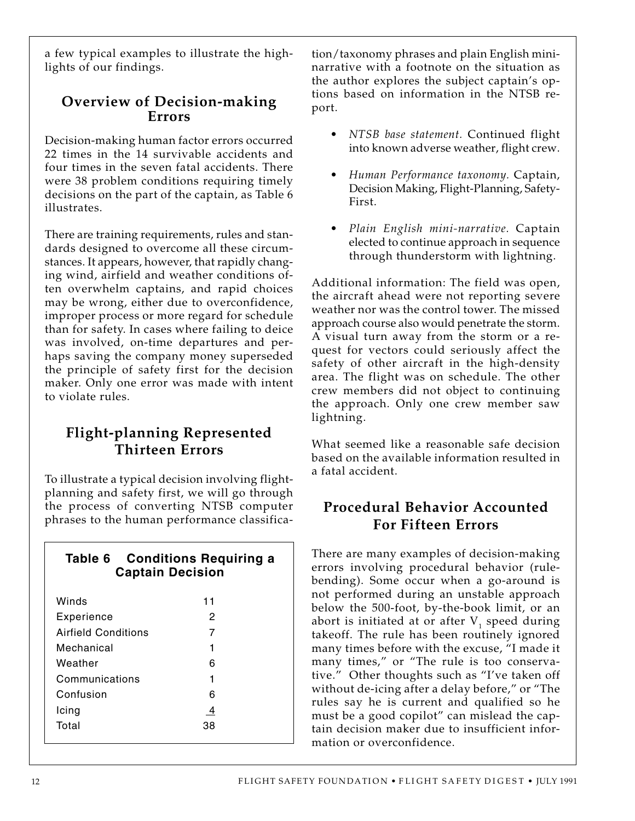a few typical examples to illustrate the highlights of our findings.

## **Overview of Decision-making Errors**

Decision-making human factor errors occurred 22 times in the 14 survivable accidents and four times in the seven fatal accidents. There were 38 problem conditions requiring timely decisions on the part of the captain, as Table 6 illustrates.

There are training requirements, rules and standards designed to overcome all these circumstances. It appears, however, that rapidly changing wind, airfield and weather conditions often overwhelm captains, and rapid choices may be wrong, either due to overconfidence, improper process or more regard for schedule than for safety. In cases where failing to deice was involved, on-time departures and perhaps saving the company money superseded the principle of safety first for the decision maker. Only one error was made with intent to violate rules.

## **Flight-planning Represented Thirteen Errors**

To illustrate a typical decision involving flightplanning and safety first, we will go through the process of converting NTSB computer phrases to the human performance classifica-

| Table 6 Conditions Requiring a<br><b>Captain Decision</b> |    |  |  |  |  |  |  |  |  |  |
|-----------------------------------------------------------|----|--|--|--|--|--|--|--|--|--|
| Winds                                                     | 11 |  |  |  |  |  |  |  |  |  |
| Experience                                                | 2  |  |  |  |  |  |  |  |  |  |
| Airfield Conditions                                       | 7  |  |  |  |  |  |  |  |  |  |
| Mechanical                                                | 1  |  |  |  |  |  |  |  |  |  |
| Weather                                                   | 6  |  |  |  |  |  |  |  |  |  |
| Communications                                            | 1  |  |  |  |  |  |  |  |  |  |
| Confusion                                                 | 6  |  |  |  |  |  |  |  |  |  |
| Icing                                                     | 4  |  |  |  |  |  |  |  |  |  |
| Total                                                     |    |  |  |  |  |  |  |  |  |  |

tion/taxonomy phrases and plain English mininarrative with a footnote on the situation as the author explores the subject captain's options based on information in the NTSB report.

- *NTSB base statement.* Continued flight into known adverse weather, flight crew.
- *Human Performance taxonomy.* Captain, Decision Making, Flight-Planning, Safety-First.
- *Plain English mini-narrative.* Captain elected to continue approach in sequence through thunderstorm with lightning.

Additional information: The field was open, the aircraft ahead were not reporting severe weather nor was the control tower. The missed approach course also would penetrate the storm. A visual turn away from the storm or a request for vectors could seriously affect the safety of other aircraft in the high-density area. The flight was on schedule. The other crew members did not object to continuing the approach. Only one crew member saw lightning.

What seemed like a reasonable safe decision based on the available information resulted in a fatal accident.

## **Procedural Behavior Accounted For Fifteen Errors**

There are many examples of decision-making errors involving procedural behavior (rulebending). Some occur when a go-around is not performed during an unstable approach below the 500-foot, by-the-book limit, or an abort is initiated at or after  $V_1$  speed during takeoff. The rule has been routinely ignored many times before with the excuse, "I made it many times," or "The rule is too conservative." Other thoughts such as "I've taken off without de-icing after a delay before," or "The rules say he is current and qualified so he must be a good copilot" can mislead the captain decision maker due to insufficient information or overconfidence.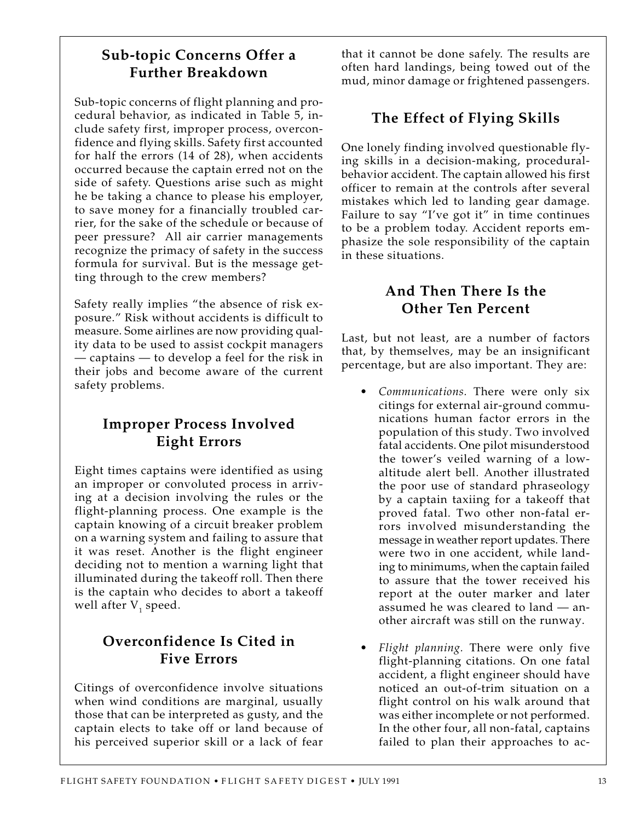## **Sub-topic Concerns Offer a Further Breakdown**

Sub-topic concerns of flight planning and procedural behavior, as indicated in Table 5, include safety first, improper process, overconfidence and flying skills. Safety first accounted for half the errors (14 of 28), when accidents occurred because the captain erred not on the side of safety. Questions arise such as might he be taking a chance to please his employer, to save money for a financially troubled carrier, for the sake of the schedule or because of peer pressure? All air carrier managements recognize the primacy of safety in the success formula for survival. But is the message getting through to the crew members?

Safety really implies "the absence of risk exposure." Risk without accidents is difficult to measure. Some airlines are now providing quality data to be used to assist cockpit managers — captains — to develop a feel for the risk in their jobs and become aware of the current safety problems.

## **Improper Process Involved Eight Errors**

Eight times captains were identified as using an improper or convoluted process in arriving at a decision involving the rules or the flight-planning process. One example is the captain knowing of a circuit breaker problem on a warning system and failing to assure that it was reset. Another is the flight engineer deciding not to mention a warning light that illuminated during the takeoff roll. Then there is the captain who decides to abort a takeoff well after  ${\rm V}^{\phantom{\dagger}}_{1}$  speed.

## **Overconfidence Is Cited in Five Errors**

Citings of overconfidence involve situations when wind conditions are marginal, usually those that can be interpreted as gusty, and the captain elects to take off or land because of his perceived superior skill or a lack of fear

that it cannot be done safely. The results are often hard landings, being towed out of the mud, minor damage or frightened passengers.

## **The Effect of Flying Skills**

One lonely finding involved questionable flying skills in a decision-making, proceduralbehavior accident. The captain allowed his first officer to remain at the controls after several mistakes which led to landing gear damage. Failure to say "I've got it" in time continues to be a problem today. Accident reports emphasize the sole responsibility of the captain in these situations.

## **And Then There Is the Other Ten Percent**

Last, but not least, are a number of factors that, by themselves, may be an insignificant percentage, but are also important. They are:

- *Communications.* There were only six citings for external air-ground communications human factor errors in the population of this study. Two involved fatal accidents. One pilot misunderstood the tower's veiled warning of a lowaltitude alert bell. Another illustrated the poor use of standard phraseology by a captain taxiing for a takeoff that proved fatal. Two other non-fatal errors involved misunderstanding the message in weather report updates. There were two in one accident, while landing to minimums, when the captain failed to assure that the tower received his report at the outer marker and later assumed he was cleared to land — another aircraft was still on the runway.
- *Flight planning.* There were only five flight-planning citations. On one fatal accident, a flight engineer should have noticed an out-of-trim situation on a flight control on his walk around that was either incomplete or not performed. In the other four, all non-fatal, captains failed to plan their approaches to ac-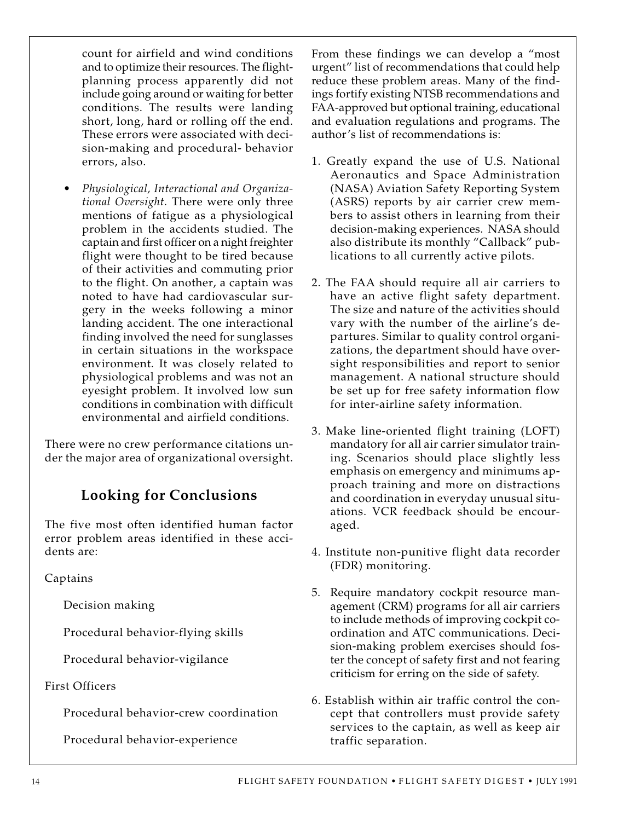count for airfield and wind conditions and to optimize their resources. The flightplanning process apparently did not include going around or waiting for better conditions. The results were landing short, long, hard or rolling off the end. These errors were associated with decision-making and procedural- behavior errors, also.

• *Physiological, Interactional and Organizational Oversight.* There were only three mentions of fatigue as a physiological problem in the accidents studied. The captain and first officer on a night freighter flight were thought to be tired because of their activities and commuting prior to the flight. On another, a captain was noted to have had cardiovascular surgery in the weeks following a minor landing accident. The one interactional finding involved the need for sunglasses in certain situations in the workspace environment. It was closely related to physiological problems and was not an eyesight problem. It involved low sun conditions in combination with difficult environmental and airfield conditions.

There were no crew performance citations under the major area of organizational oversight.

## **Looking for Conclusions**

The five most often identified human factor error problem areas identified in these accidents are:

Captains

Decision making

Procedural behavior-flying skills

Procedural behavior-vigilance

First Officers

Procedural behavior-crew coordination

Procedural behavior-experience

From these findings we can develop a "most urgent" list of recommendations that could help reduce these problem areas. Many of the findings fortify existing NTSB recommendations and FAA-approved but optional training, educational and evaluation regulations and programs. The author's list of recommendations is:

- 1. Greatly expand the use of U.S. National Aeronautics and Space Administration (NASA) Aviation Safety Reporting System (ASRS) reports by air carrier crew members to assist others in learning from their decision-making experiences. NASA should also distribute its monthly "Callback" publications to all currently active pilots.
- 2. The FAA should require all air carriers to have an active flight safety department. The size and nature of the activities should vary with the number of the airline's departures. Similar to quality control organizations, the department should have oversight responsibilities and report to senior management. A national structure should be set up for free safety information flow for inter-airline safety information.
- 3. Make line-oriented flight training (LOFT) mandatory for all air carrier simulator training. Scenarios should place slightly less emphasis on emergency and minimums approach training and more on distractions and coordination in everyday unusual situations. VCR feedback should be encouraged.
- 4. Institute non-punitive flight data recorder (FDR) monitoring.
- 5. Require mandatory cockpit resource management (CRM) programs for all air carriers to include methods of improving cockpit coordination and ATC communications. Decision-making problem exercises should foster the concept of safety first and not fearing criticism for erring on the side of safety.
- 6. Establish within air traffic control the concept that controllers must provide safety services to the captain, as well as keep air traffic separation.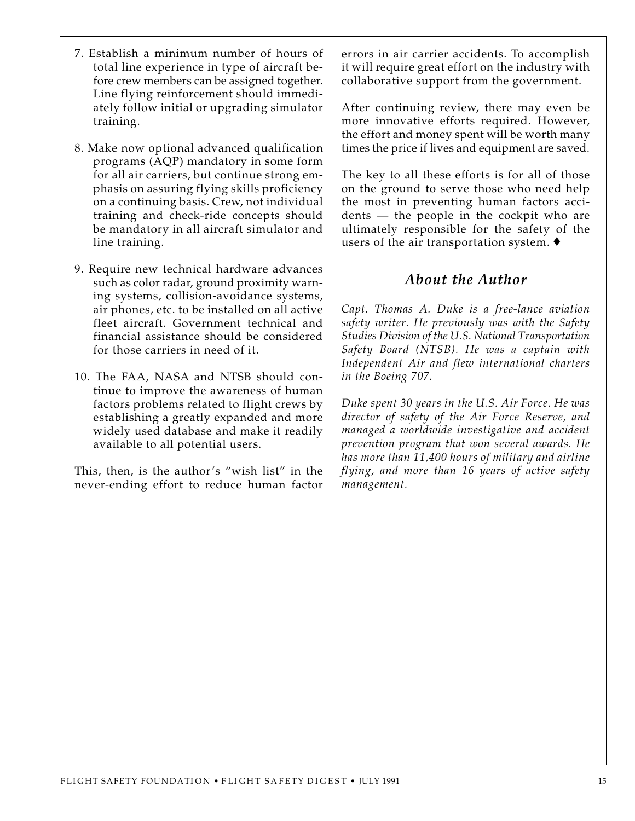- 7. Establish a minimum number of hours of total line experience in type of aircraft before crew members can be assigned together. Line flying reinforcement should immediately follow initial or upgrading simulator training.
- 8. Make now optional advanced qualification programs (AQP) mandatory in some form for all air carriers, but continue strong emphasis on assuring flying skills proficiency on a continuing basis. Crew, not individual training and check-ride concepts should be mandatory in all aircraft simulator and line training.
- 9. Require new technical hardware advances such as color radar, ground proximity warning systems, collision-avoidance systems, air phones, etc. to be installed on all active fleet aircraft. Government technical and financial assistance should be considered for those carriers in need of it.
- 10. The FAA, NASA and NTSB should continue to improve the awareness of human factors problems related to flight crews by establishing a greatly expanded and more widely used database and make it readily available to all potential users.

This, then, is the author's "wish list" in the never-ending effort to reduce human factor errors in air carrier accidents. To accomplish it will require great effort on the industry with collaborative support from the government.

After continuing review, there may even be more innovative efforts required. However, the effort and money spent will be worth many times the price if lives and equipment are saved.

The key to all these efforts is for all of those on the ground to serve those who need help the most in preventing human factors accidents — the people in the cockpit who are ultimately responsible for the safety of the users of the air transportation system.  $\blacklozenge$ 

### *About the Author*

*Capt. Thomas A. Duke is a free-lance aviation safety writer. He previously was with the Safety Studies Division of the U.S. National Transportation Safety Board (NTSB). He was a captain with Independent Air and flew international charters in the Boeing 707.*

*Duke spent 30 years in the U.S. Air Force. He was director of safety of the Air Force Reserve, and managed a worldwide investigative and accident prevention program that won several awards. He has more than 11,400 hours of military and airline flying, and more than 16 years of active safety management.*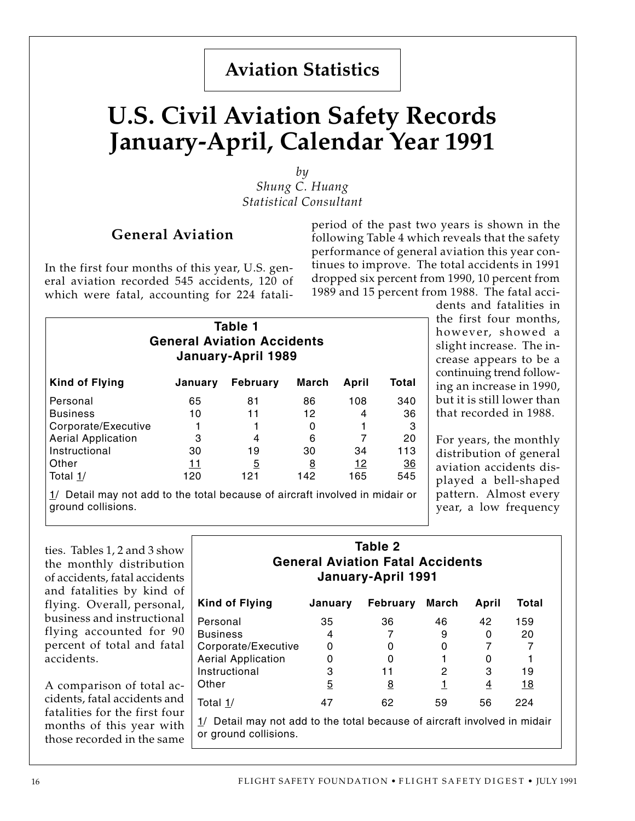## **Aviation Statistics**

## **U.S. Civil Aviation Safety Records January-April, Calendar Year 1991**

*by Shung C. Huang Statistical Consultant*

#### **General Aviation**

In the first four months of this year, U.S. general aviation recorded 545 accidents, 120 of which were fatal, accounting for 224 fataliperiod of the past two years is shown in the following Table 4 which reveals that the safety performance of general aviation this year continues to improve. The total accidents in 1991 dropped six percent from 1990, 10 percent from 1989 and 15 percent from 1988. The fatal acci-

> dents and fatalities in the first four months, however, showed a slight increase. The increase appears to be a continuing trend following an increase in 1990, but it is still lower than that recorded in 1988.

> For years, the monthly distribution of general aviation accidents displayed a bell-shaped pattern. Almost every year, a low frequency

| Table 1<br><b>General Aviation Accidents</b><br>January-April 1989 |         |                |          |       |       |  |  |  |  |
|--------------------------------------------------------------------|---------|----------------|----------|-------|-------|--|--|--|--|
| Kind of Flying                                                     | January | February       | March    | April | Total |  |  |  |  |
| Personal                                                           | 65      | 81             | 86       | 108   | 340   |  |  |  |  |
| <b>Business</b>                                                    | 10      | 11             | 12       | 4     | 36    |  |  |  |  |
| Corporate/Executive                                                |         |                |          |       | 3     |  |  |  |  |
| <b>Aerial Application</b>                                          | 3       | 4              | 6        |       | 20    |  |  |  |  |
| Instructional                                                      | 30      | 19             | 30       | 34    | 113   |  |  |  |  |
| Other                                                              | 11      | $\overline{5}$ | <u>8</u> | 12    | 36    |  |  |  |  |
| Total $1/$                                                         | 120     | 121            | 142      | 165   | 545   |  |  |  |  |

1/ Detail may not add to the total because of aircraft involved in midair or ground collisions.

ties. Tables 1, 2 and 3 show the monthly distribution of accidents, fatal accidents and fatalities by kind of flying. Overall, personal, business and instructional flying accounted for 90 percent of total and fatal accidents.

A comparison of total accidents, fatal accidents and fatalities for the first four months of this year with those recorded in the same

#### **Table 2 General Aviation Fatal Accidents January-April 1991**

| Kind of Flying            | January                                                                     | <b>February</b> | March | April | Total      |  |  |  |  |
|---------------------------|-----------------------------------------------------------------------------|-----------------|-------|-------|------------|--|--|--|--|
| Personal                  | 35                                                                          | 36              | 46    | 42    | 159        |  |  |  |  |
| <b>Business</b>           | 4                                                                           |                 | 9     | 0     | 20         |  |  |  |  |
| Corporate/Executive       | 0                                                                           | O               |       |       |            |  |  |  |  |
| <b>Aerial Application</b> | 0                                                                           | O               |       | O     |            |  |  |  |  |
| Instructional             | 3                                                                           | 11              | 2     | 3     | 19         |  |  |  |  |
| Other                     | 5                                                                           | <u>8</u>        |       | 4     | <u> 18</u> |  |  |  |  |
| Total 1/                  | 47                                                                          | 62              | 59    | 56    | 224        |  |  |  |  |
| or ground collisions.     | $1/$ Detail may not add to the total because of aircraft involved in midair |                 |       |       |            |  |  |  |  |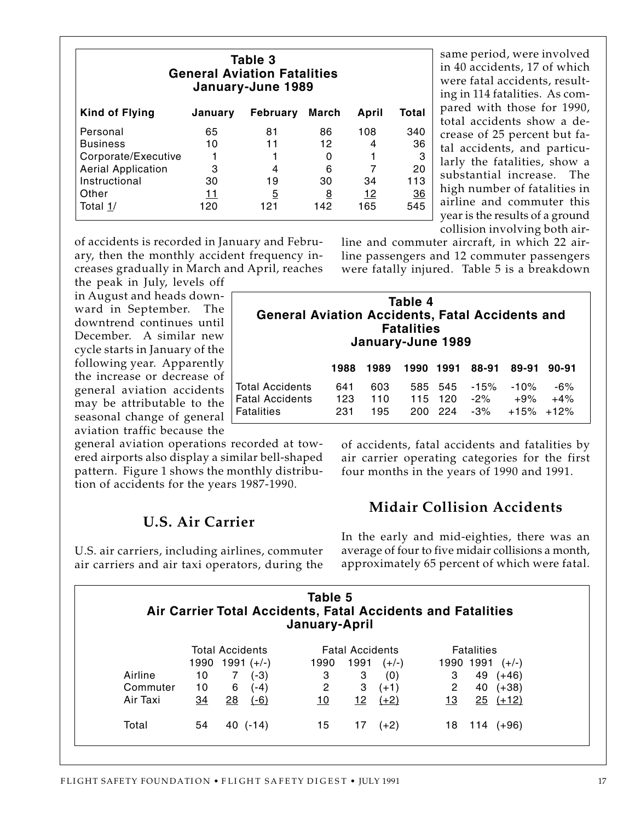| Table 3<br><b>General Aviation Fatalities</b><br>January-June 1989 |         |                 |       |       |           |  |  |  |  |
|--------------------------------------------------------------------|---------|-----------------|-------|-------|-----------|--|--|--|--|
| <b>Kind of Flying</b>                                              | January | <b>February</b> | March | April | Total     |  |  |  |  |
| Personal                                                           | 65      | 81              | 86    | 108   | 340       |  |  |  |  |
| <b>Business</b>                                                    | 10      | 11              | 12    | 4     | 36        |  |  |  |  |
| Corporate/Executive                                                |         |                 | 0     |       | 3         |  |  |  |  |
| <b>Aerial Application</b>                                          | 3       | 4               | 6     |       | 20        |  |  |  |  |
| Instructional                                                      | 30      | 19              | 30    | 34    | 113       |  |  |  |  |
| Other                                                              | 11      | $\overline{5}$  | 8     | 12    | <u>36</u> |  |  |  |  |
| Total 1/                                                           | 120     | 121             | 142   | 165   | 545       |  |  |  |  |

same period, were involved in 40 accidents, 17 of which were fatal accidents, resulting in 114 fatalities. As compared with those for 1990, total accidents show a decrease of 25 percent but fatal accidents, and particularly the fatalities, show a substantial increase. The high number of fatalities in airline and commuter this year is the results of a ground collision involving both air-

of accidents is recorded in January and February, then the monthly accident frequency increases gradually in March and April, reaches

the peak in July, levels off in August and heads downward in September. The downtrend continues until December. A similar new cycle starts in January of the following year. Apparently the increase or decrease of general aviation accidents may be attributable to the seasonal change of general aviation traffic because the

general aviation operations recorded at towered airports also display a similar bell-shaped pattern. Figure 1 shows the monthly distribution of accidents for the years 1987-1990.

## **U.S. Air Carrier**

U.S. air carriers, including airlines, commuter air carriers and air taxi operators, during the line and commuter aircraft, in which 22 airline passengers and 12 commuter passengers were fatally injured. Table 5 is a breakdown

| Table 4<br><b>General Aviation Accidents, Fatal Accidents and</b><br><b>Fatalities</b><br>January-June 1989 |                   |                   |      |                               |                  |                                       |                |  |  |  |
|-------------------------------------------------------------------------------------------------------------|-------------------|-------------------|------|-------------------------------|------------------|---------------------------------------|----------------|--|--|--|
|                                                                                                             | 1988              | 1989              | 1990 | 1991                          | 88-91            | 89-91                                 | $90 - 91$      |  |  |  |
| Total Accidents<br><b>Fatal Accidents</b><br>Fatalities                                                     | 641<br>123<br>231 | 603<br>110<br>195 |      | 585 545<br>115 120<br>200 224 | $-15%$<br>$-2\%$ | $-10%$<br>$+9%$<br>$-3\% +15\% +12\%$ | $-6%$<br>$+4%$ |  |  |  |

of accidents, fatal accidents and fatalities by air carrier operating categories for the first four months in the years of 1990 and 1991.

## **Midair Collision Accidents**

In the early and mid-eighties, there was an average of four to five midair collisions a month, approximately 65 percent of which were fatal.

|          |      |    |                        | Table 5<br>Air Carrier Total Accidents, Fatal Accidents and Fatalities<br>January-April |                        |        |              |                   |         |  |
|----------|------|----|------------------------|-----------------------------------------------------------------------------------------|------------------------|--------|--------------|-------------------|---------|--|
|          |      |    | <b>Total Accidents</b> |                                                                                         | <b>Fatal Accidents</b> |        |              | <b>Fatalities</b> |         |  |
|          | 1990 |    | $1991 (+/-)$           | 1990                                                                                    | 1991                   | (+/-)  | 1990         | 1991              | $(+/-)$ |  |
| Airline  | 10   |    | (-3)                   | 3                                                                                       | 3                      | (0)    | 3            | 49                | (+46)   |  |
| Commuter | 10   | 6  | (-4)                   | $\overline{2}$                                                                          | 3                      | $(+1)$ | $\mathbf{2}$ | 40                | $(+38)$ |  |
| Air Taxi | 34   | 28 | $(-6)$                 | 10                                                                                      | 12                     | $(+2)$ | <u> 13</u>   | 25                | $(+12)$ |  |
| Total    | 54   |    | 40(.14)                | 15                                                                                      | 17                     | $(+2)$ | 18           | 114               | $(+96)$ |  |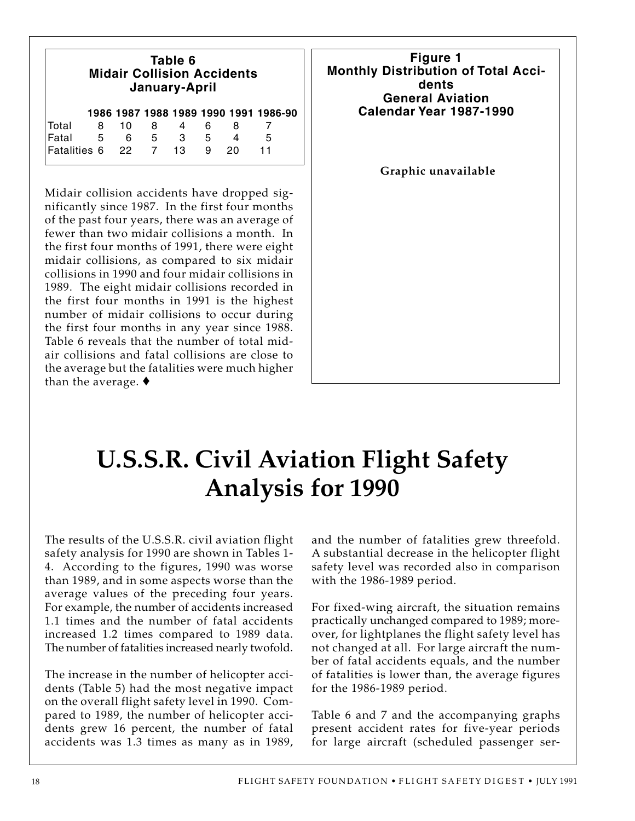| Table 6<br><b>Midair Collision Accidents</b><br>January-April |   |    |   |    |   |    |                                       |  |  |
|---------------------------------------------------------------|---|----|---|----|---|----|---------------------------------------|--|--|
|                                                               |   |    |   |    |   |    | 1986 1987 1988 1989 1990 1991 1986-90 |  |  |
| Total                                                         | 8 | 10 | 8 | 4  | 6 | 8  |                                       |  |  |
| Fatal                                                         | 5 | 6  | 5 | 3  | 5 |    | 5                                     |  |  |
| Fatalities 6 22 7                                             |   |    |   | 13 | 9 | 20 | 11                                    |  |  |

Midair collision accidents have dropped significantly since 1987. In the first four months of the past four years, there was an average of fewer than two midair collisions a month. In the first four months of 1991, there were eight midair collisions, as compared to six midair collisions in 1990 and four midair collisions in 1989. The eight midair collisions recorded in the first four months in 1991 is the highest number of midair collisions to occur during the first four months in any year since 1988. Table 6 reveals that the number of total midair collisions and fatal collisions are close to the average but the fatalities were much higher than the average. ♦



# **U.S.S.R. Civil Aviation Flight Safety Analysis for 1990**

The results of the U.S.S.R. civil aviation flight safety analysis for 1990 are shown in Tables 1- 4. According to the figures, 1990 was worse than 1989, and in some aspects worse than the average values of the preceding four years. For example, the number of accidents increased 1.1 times and the number of fatal accidents increased 1.2 times compared to 1989 data. The number of fatalities increased nearly twofold.

The increase in the number of helicopter accidents (Table 5) had the most negative impact on the overall flight safety level in 1990. Compared to 1989, the number of helicopter accidents grew 16 percent, the number of fatal accidents was 1.3 times as many as in 1989,

and the number of fatalities grew threefold. A substantial decrease in the helicopter flight safety level was recorded also in comparison with the 1986-1989 period.

For fixed-wing aircraft, the situation remains practically unchanged compared to 1989; moreover, for lightplanes the flight safety level has not changed at all. For large aircraft the number of fatal accidents equals, and the number of fatalities is lower than, the average figures for the 1986-1989 period.

Table 6 and 7 and the accompanying graphs present accident rates for five-year periods for large aircraft (scheduled passenger ser-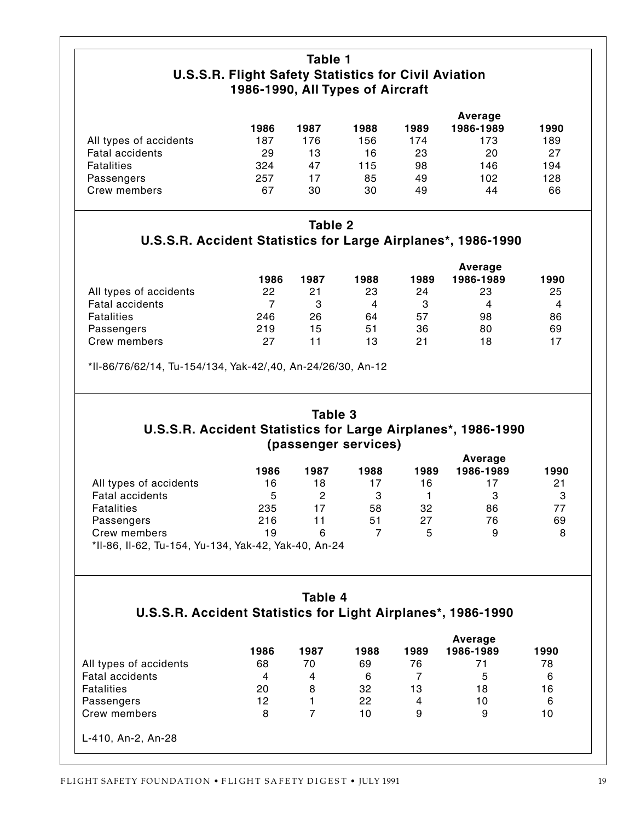### **Table 1 U.S.S.R. Flight Safety Statistics for Civil Aviation 1986-1990, All Types of Aircraft**

|                        |      |      |      |      | Average   |      |
|------------------------|------|------|------|------|-----------|------|
|                        | 1986 | 1987 | 1988 | 1989 | 1986-1989 | 1990 |
| All types of accidents | 187  | 176  | 156  | 174  | 173       | 189  |
| Fatal accidents        | 29   | 13   | 16   | 23   | 20        | 27   |
| <b>Fatalities</b>      | 324  | 47   | 115  | 98   | 146       | 194  |
| Passengers             | 257  | 17   | 85   | 49   | 102       | 128  |
| Crew members           | 67   | 30   | 30   | 49   | 44        | 66   |

#### **Table 2**

**U.S.S.R. Accident Statistics for Large Airplanes\*, 1986-1990**

|                        |      |      |      |      | Average   |      |
|------------------------|------|------|------|------|-----------|------|
|                        | 1986 | 1987 | 1988 | 1989 | 1986-1989 | 1990 |
| All types of accidents | 22   | 21   | 23   | 24   | 23        | 25   |
| <b>Fatal accidents</b> |      | з    | 4    | З    | 4         | 4    |
| <b>Fatalities</b>      | 246  | 26   | 64   | 57   | 98        | 86   |
| Passengers             | 219  | 15   | 51   | 36   | 80        | 69   |
| Crew members           | 27   |      | 13   | 21   | 18        | 17   |

\*Il-86/76/62/14, Tu-154/134, Yak-42/,40, An-24/26/30, An-12

## **Table 3 U.S.S.R. Accident Statistics for Large Airplanes\*, 1986-1990 (passenger services)**

|                                                      |      |      |      |      | Average   |      |
|------------------------------------------------------|------|------|------|------|-----------|------|
|                                                      | 1986 | 1987 | 1988 | 1989 | 1986-1989 | 1990 |
| All types of accidents                               | 16   | 18   | 17   | 16   |           | 21   |
| <b>Fatal accidents</b>                               | 5    | 2    | 3    |      | 3         | 3    |
| <b>Fatalities</b>                                    | 235  | 17   | 58   | 32   | 86        | 77   |
| Passengers                                           | 216  | 11   | 51   | 27   | 76        | 69   |
| Crew members                                         | 19   | 6    |      | 5    | 9         | 8    |
| *II-86, II-62, Tu-154, Yu-134, Yak-42, Yak-40, An-24 |      |      |      |      |           |      |

#### **Table 4 U.S.S.R. Accident Statistics for Light Airplanes\*, 1986-1990**

|                        |      |      |      |                | Average   |      |
|------------------------|------|------|------|----------------|-----------|------|
|                        | 1986 | 1987 | 1988 | 1989           | 1986-1989 | 1990 |
| All types of accidents | 68   | 70   | 69   | 76             | 71        | 78   |
| <b>Fatal accidents</b> | 4    | 4    | 6    |                | 5         | 6    |
| <b>Fatalities</b>      | 20   | 8    | 32   | 13             | 18        | 16   |
| Passengers             | 12   |      | 22   | $\overline{4}$ | 10        | 6    |
| Crew members           | 8    |      | 10   | 9              | 9         | 10   |
| L-410, An-2, An-28     |      |      |      |                |           |      |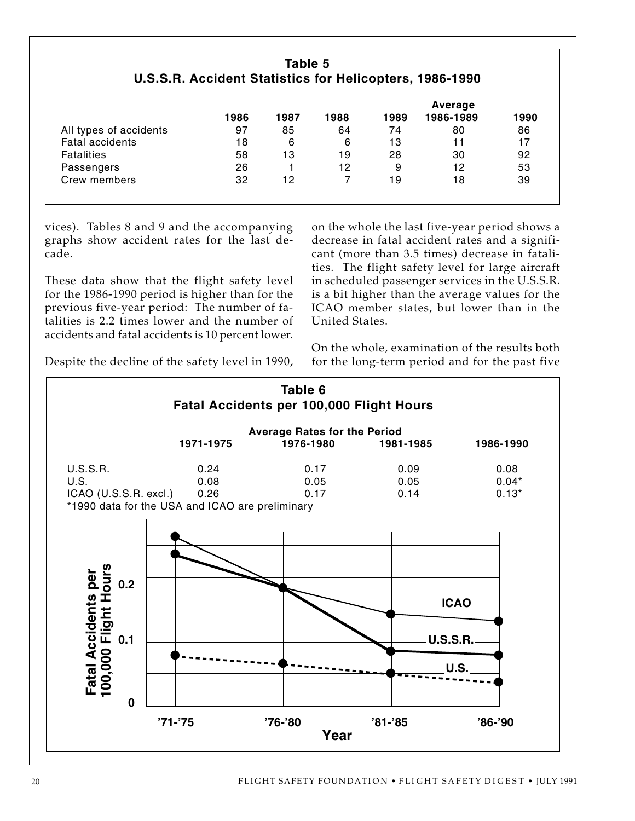### **Table 5 U.S.S.R. Accident Statistics for Helicopters, 1986-1990**

|                        |      |      |      |      | Average   |      |
|------------------------|------|------|------|------|-----------|------|
|                        | 1986 | 1987 | 1988 | 1989 | 1986-1989 | 1990 |
| All types of accidents | 97   | 85   | 64   | 74   | 80        | 86   |
| <b>Fatal accidents</b> | 18   | 6    | 6    | 13   | 11        | 17   |
| <b>Fatalities</b>      | 58   | 13   | 19   | 28   | 30        | 92   |
| Passengers             | 26   |      | 12   | 9    | 12        | 53   |
| Crew members           | 32   | 12   |      | 19   | 18        | 39   |

vices). Tables 8 and 9 and the accompanying graphs show accident rates for the last decade.

These data show that the flight safety level for the 1986-1990 period is higher than for the previous five-year period: The number of fatalities is 2.2 times lower and the number of accidents and fatal accidents is 10 percent lower.

on the whole the last five-year period shows a decrease in fatal accident rates and a significant (more than 3.5 times) decrease in fatalities. The flight safety level for large aircraft in scheduled passenger services in the U.S.S.R. is a bit higher than the average values for the ICAO member states, but lower than in the United States.

On the whole, examination of the results both for the long-term period and for the past five

Despite the decline of the safety level in 1990,

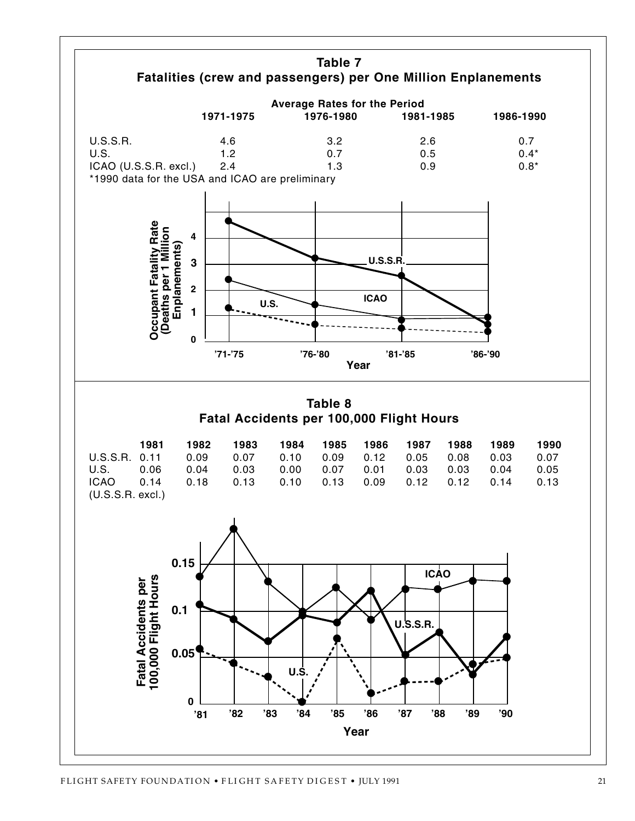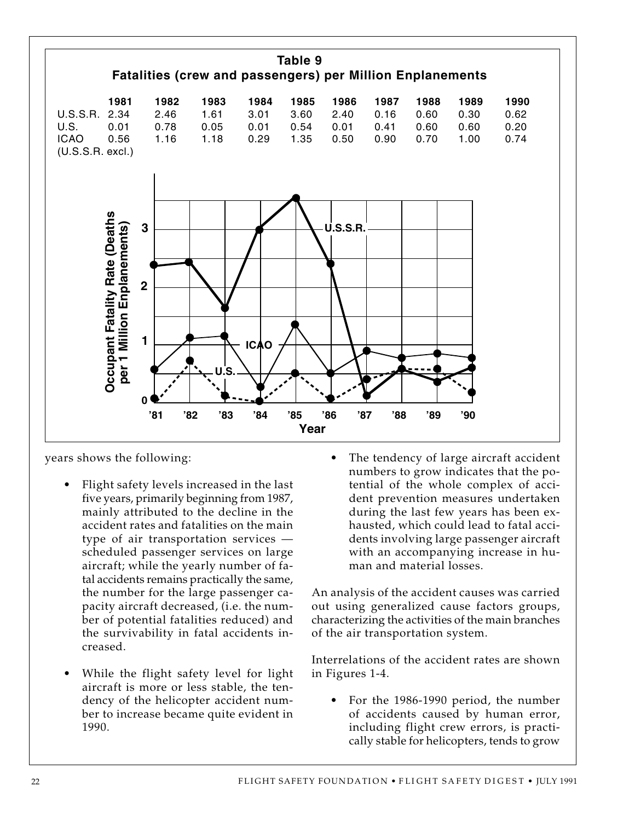

years shows the following:

- Flight safety levels increased in the last five years, primarily beginning from 1987, mainly attributed to the decline in the accident rates and fatalities on the main type of air transportation services scheduled passenger services on large aircraft; while the yearly number of fatal accidents remains practically the same, the number for the large passenger capacity aircraft decreased, (i.e. the number of potential fatalities reduced) and the survivability in fatal accidents increased.
- While the flight safety level for light aircraft is more or less stable, the tendency of the helicopter accident number to increase became quite evident in 1990.

• The tendency of large aircraft accident numbers to grow indicates that the potential of the whole complex of accident prevention measures undertaken during the last few years has been exhausted, which could lead to fatal accidents involving large passenger aircraft with an accompanying increase in human and material losses.

An analysis of the accident causes was carried out using generalized cause factors groups, characterizing the activities of the main branches of the air transportation system.

Interrelations of the accident rates are shown in Figures 1-4.

• For the 1986-1990 period, the number of accidents caused by human error, including flight crew errors, is practically stable for helicopters, tends to grow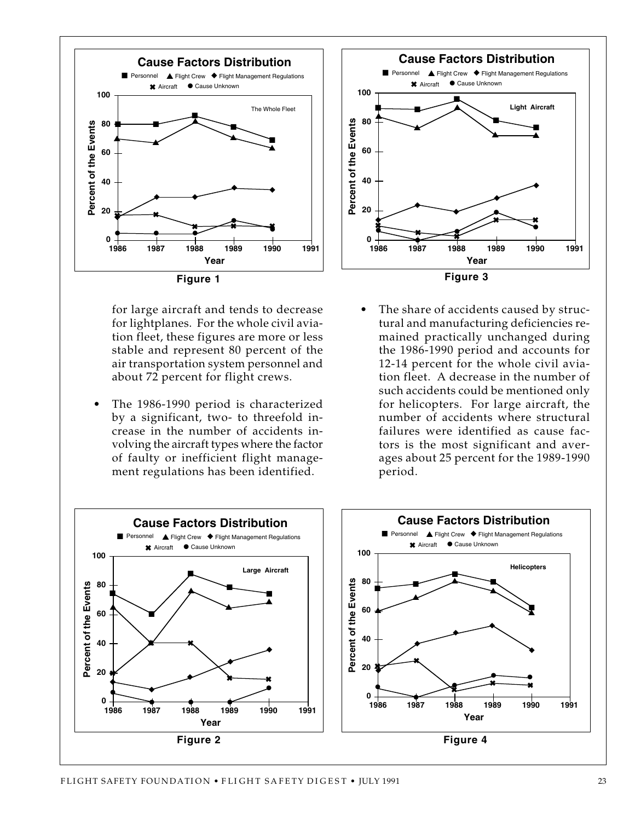

for large aircraft and tends to decrease for lightplanes. For the whole civil aviation fleet, these figures are more or less stable and represent 80 percent of the air transportation system personnel and about 72 percent for flight crews.

The 1986-1990 period is characterized by a significant, two- to threefold increase in the number of accidents involving the aircraft types where the factor of faulty or inefficient flight management regulations has been identified.



The share of accidents caused by structural and manufacturing deficiencies remained practically unchanged during the 1986-1990 period and accounts for 12-14 percent for the whole civil aviation fleet. A decrease in the number of such accidents could be mentioned only for helicopters. For large aircraft, the number of accidents where structural failures were identified as cause factors is the most significant and averages about 25 percent for the 1989-1990 period.

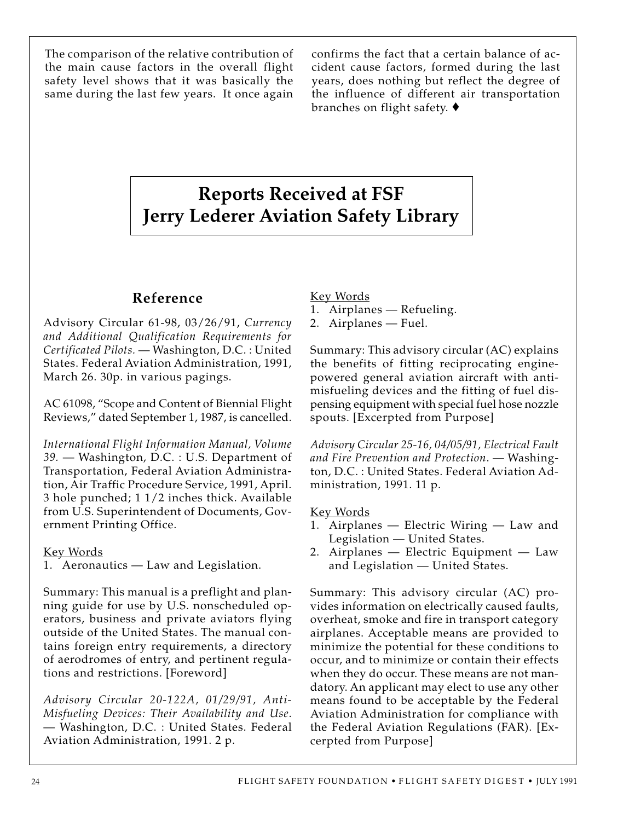The comparison of the relative contribution of the main cause factors in the overall flight safety level shows that it was basically the same during the last few years. It once again confirms the fact that a certain balance of accident cause factors, formed during the last years, does nothing but reflect the degree of the influence of different air transportation branches on flight safety. ♦

## **Reports Received at FSF Jerry Lederer Aviation Safety Library**

## **Reference**

Advisory Circular 61-98, 03/26/91, *Currency and Additional Qualification Requirements for Certificated Pilots.* — Washington, D.C. : United States. Federal Aviation Administration, 1991, March 26. 30p. in various pagings.

AC 61098, "Scope and Content of Biennial Flight Reviews," dated September 1, 1987, is cancelled.

*International Flight Information Manual, Volume 39.* — Washington, D.C. : U.S. Department of Transportation, Federal Aviation Administration, Air Traffic Procedure Service, 1991, April. 3 hole punched; 1 1/2 inches thick. Available from U.S. Superintendent of Documents, Government Printing Office.

Key Words

1. Aeronautics — Law and Legislation.

Summary: This manual is a preflight and planning guide for use by U.S. nonscheduled operators, business and private aviators flying outside of the United States. The manual contains foreign entry requirements, a directory of aerodromes of entry, and pertinent regulations and restrictions. [Foreword]

*Advisory Circular 20-122A, 01/29/91, Anti-Misfueling Devices: Their Availability and Use*. — Washington, D.C. : United States. Federal Aviation Administration, 1991. 2 p.

Key Words

- 1. Airplanes Refueling.
- 2. Airplanes Fuel.

Summary: This advisory circular (AC) explains the benefits of fitting reciprocating enginepowered general aviation aircraft with antimisfueling devices and the fitting of fuel dispensing equipment with special fuel hose nozzle spouts. [Excerpted from Purpose]

*Advisory Circular 25-16, 04/05/91, Electrical Fault and Fire Prevention and Protection*. — Washington, D.C. : United States. Federal Aviation Administration, 1991. 11 p.

#### Key Words

- 1. Airplanes Electric Wiring Law and Legislation — United States.
- 2. Airplanes Electric Equipment Law and Legislation — United States.

Summary: This advisory circular (AC) provides information on electrically caused faults, overheat, smoke and fire in transport category airplanes. Acceptable means are provided to minimize the potential for these conditions to occur, and to minimize or contain their effects when they do occur. These means are not mandatory. An applicant may elect to use any other means found to be acceptable by the Federal Aviation Administration for compliance with the Federal Aviation Regulations (FAR). [Excerpted from Purpose]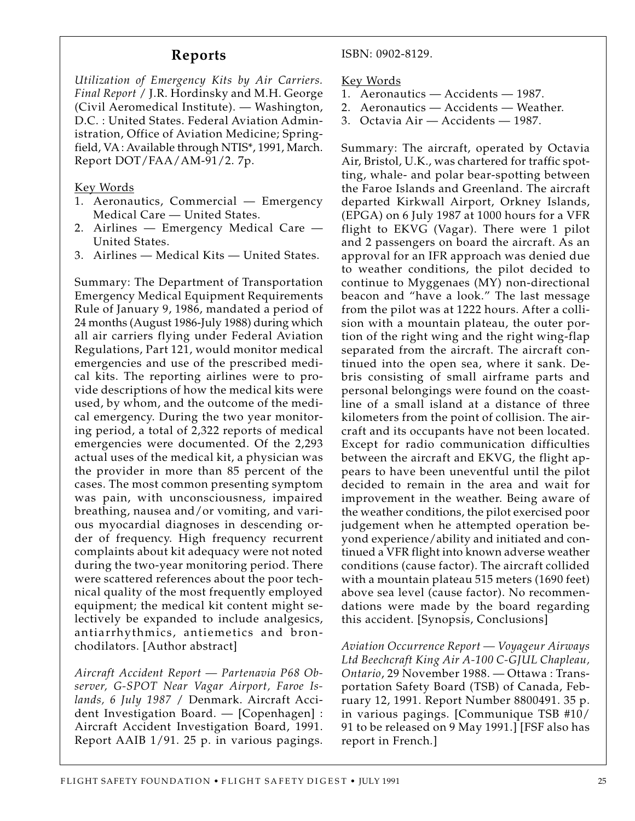#### **Reports**

*Utilization of Emergency Kits by Air Carriers. Final Report* / J.R. Hordinsky and M.H. George (Civil Aeromedical Institute). — Washington, D.C. : United States. Federal Aviation Administration, Office of Aviation Medicine; Springfield, VA : Available through NTIS\*, 1991, March. Report DOT/FAA/AM-91/2. 7p.

Key Words

- 1. Aeronautics, Commercial Emergency Medical Care — United States.
- 2. Airlines Emergency Medical Care United States.
- 3. Airlines Medical Kits United States.

Summary: The Department of Transportation Emergency Medical Equipment Requirements Rule of January 9, 1986, mandated a period of 24 months (August 1986-July 1988) during which all air carriers flying under Federal Aviation Regulations, Part 121, would monitor medical emergencies and use of the prescribed medical kits. The reporting airlines were to provide descriptions of how the medical kits were used, by whom, and the outcome of the medical emergency. During the two year monitoring period, a total of 2,322 reports of medical emergencies were documented. Of the 2,293 actual uses of the medical kit, a physician was the provider in more than 85 percent of the cases. The most common presenting symptom was pain, with unconsciousness, impaired breathing, nausea and/or vomiting, and various myocardial diagnoses in descending order of frequency. High frequency recurrent complaints about kit adequacy were not noted during the two-year monitoring period. There were scattered references about the poor technical quality of the most frequently employed equipment; the medical kit content might selectively be expanded to include analgesics, antiarrhythmics, antiemetics and bronchodilators. [Author abstract]

*Aircraft Accident Report — Partenavia P68 Observer, G-SPOT Near Vagar Airport, Faroe Islands, 6 July 1987* / Denmark. Aircraft Accident Investigation Board. — [Copenhagen] : Aircraft Accident Investigation Board, 1991. Report AAIB 1/91. 25 p. in various pagings.

ISBN: 0902-8129.

Key Words

- 1. Aeronautics Accidents 1987.
- 2. Aeronautics Accidents Weather.
- 3. Octavia Air Accidents 1987.

Summary: The aircraft, operated by Octavia Air, Bristol, U.K., was chartered for traffic spotting, whale- and polar bear-spotting between the Faroe Islands and Greenland. The aircraft departed Kirkwall Airport, Orkney Islands, (EPGA) on 6 July 1987 at 1000 hours for a VFR flight to EKVG (Vagar). There were 1 pilot and 2 passengers on board the aircraft. As an approval for an IFR approach was denied due to weather conditions, the pilot decided to continue to Myggenaes (MY) non-directional beacon and "have a look." The last message from the pilot was at 1222 hours. After a collision with a mountain plateau, the outer portion of the right wing and the right wing-flap separated from the aircraft. The aircraft continued into the open sea, where it sank. Debris consisting of small airframe parts and personal belongings were found on the coastline of a small island at a distance of three kilometers from the point of collision. The aircraft and its occupants have not been located. Except for radio communication difficulties between the aircraft and EKVG, the flight appears to have been uneventful until the pilot decided to remain in the area and wait for improvement in the weather. Being aware of the weather conditions, the pilot exercised poor judgement when he attempted operation beyond experience/ability and initiated and continued a VFR flight into known adverse weather conditions (cause factor). The aircraft collided with a mountain plateau 515 meters (1690 feet) above sea level (cause factor). No recommendations were made by the board regarding this accident. [Synopsis, Conclusions]

*Aviation Occurrence Report — Voyageur Airways Ltd Beechcraft King Air A-100 C-GJUL Chapleau, Ontario*, 29 November 1988. — Ottawa : Transportation Safety Board (TSB) of Canada, February 12, 1991. Report Number 8800491. 35 p. in various pagings. [Communique TSB #10/ 91 to be released on 9 May 1991.] [FSF also has report in French.]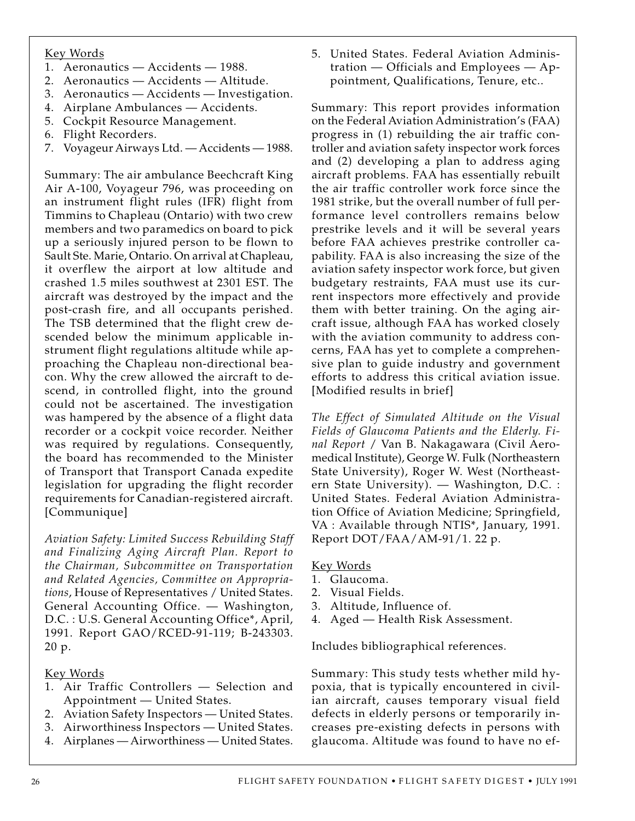#### Key Words

- 1. Aeronautics Accidents 1988.
- 2. Aeronautics Accidents Altitude.
- 3. Aeronautics Accidents Investigation.
- 4. Airplane Ambulances Accidents.
- 5. Cockpit Resource Management.
- 6. Flight Recorders.
- 7. Voyageur Airways Ltd. Accidents 1988.

Summary: The air ambulance Beechcraft King Air A-100, Voyageur 796, was proceeding on an instrument flight rules (IFR) flight from Timmins to Chapleau (Ontario) with two crew members and two paramedics on board to pick up a seriously injured person to be flown to Sault Ste. Marie, Ontario. On arrival at Chapleau, it overflew the airport at low altitude and crashed 1.5 miles southwest at 2301 EST. The aircraft was destroyed by the impact and the post-crash fire, and all occupants perished. The TSB determined that the flight crew descended below the minimum applicable instrument flight regulations altitude while approaching the Chapleau non-directional beacon. Why the crew allowed the aircraft to descend, in controlled flight, into the ground could not be ascertained. The investigation was hampered by the absence of a flight data recorder or a cockpit voice recorder. Neither was required by regulations. Consequently, the board has recommended to the Minister of Transport that Transport Canada expedite legislation for upgrading the flight recorder requirements for Canadian-registered aircraft. [Communique]

*Aviation Safety: Limited Success Rebuilding Staff and Finalizing Aging Aircraft Plan. Report to the Chairman, Subcommittee on Transportation and Related Agencies, Committee on Appropriations*, House of Representatives / United States. General Accounting Office. — Washington, D.C. : U.S. General Accounting Office\*, April, 1991. Report GAO/RCED-91-119; B-243303. 20 p.

#### Key Words

- 1. Air Traffic Controllers Selection and Appointment — United States.
- 2. Aviation Safety Inspectors United States.
- 3. Airworthiness Inspectors United States.
- 4. Airplanes Airworthiness United States.

5. United States. Federal Aviation Administration — Officials and Employees — Appointment, Qualifications, Tenure, etc..

Summary: This report provides information on the Federal Aviation Administration's (FAA) progress in (1) rebuilding the air traffic controller and aviation safety inspector work forces and (2) developing a plan to address aging aircraft problems. FAA has essentially rebuilt the air traffic controller work force since the 1981 strike, but the overall number of full performance level controllers remains below prestrike levels and it will be several years before FAA achieves prestrike controller capability. FAA is also increasing the size of the aviation safety inspector work force, but given budgetary restraints, FAA must use its current inspectors more effectively and provide them with better training. On the aging aircraft issue, although FAA has worked closely with the aviation community to address concerns, FAA has yet to complete a comprehensive plan to guide industry and government efforts to address this critical aviation issue. [Modified results in brief]

*The Effect of Simulated Altitude on the Visual Fields of Glaucoma Patients and the Elderly. Final Report* / Van B. Nakagawara (Civil Aeromedical Institute), George W. Fulk (Northeastern State University), Roger W. West (Northeastern State University). — Washington, D.C. : United States. Federal Aviation Administration Office of Aviation Medicine; Springfield, VA : Available through NTIS\*, January, 1991. Report DOT/FAA/AM-91/1. 22 p.

#### Key Words

- 1. Glaucoma.
- 2. Visual Fields.
- 3. Altitude, Influence of.
- 4. Aged Health Risk Assessment.

Includes bibliographical references.

Summary: This study tests whether mild hypoxia, that is typically encountered in civilian aircraft, causes temporary visual field defects in elderly persons or temporarily increases pre-existing defects in persons with glaucoma. Altitude was found to have no ef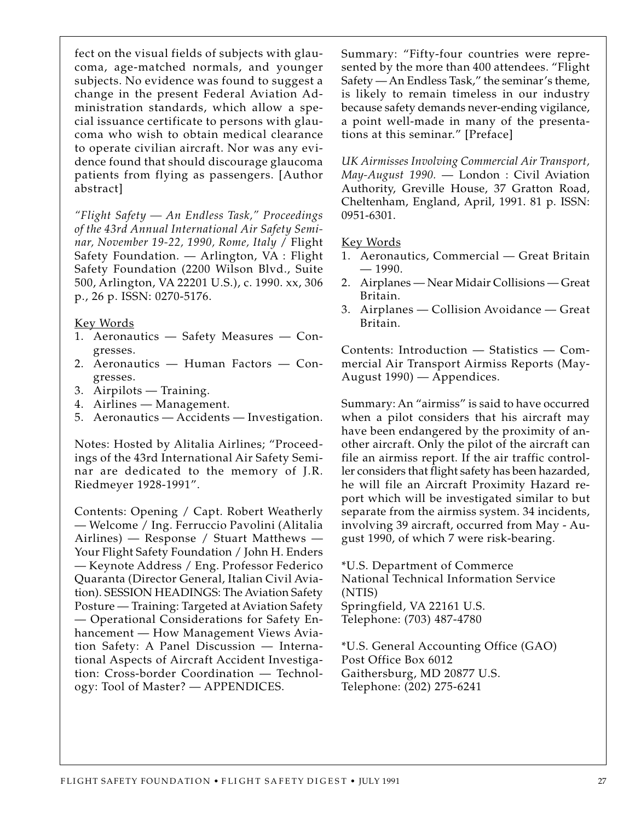fect on the visual fields of subjects with glaucoma, age-matched normals, and younger subjects. No evidence was found to suggest a change in the present Federal Aviation Administration standards, which allow a special issuance certificate to persons with glaucoma who wish to obtain medical clearance to operate civilian aircraft. Nor was any evidence found that should discourage glaucoma patients from flying as passengers. [Author abstract]

*"Flight Safety — An Endless Task," Proceedings of the 43rd Annual International Air Safety Seminar, November 19-22, 1990, Rome, Italy* / Flight Safety Foundation. — Arlington, VA : Flight Safety Foundation (2200 Wilson Blvd., Suite 500, Arlington, VA 22201 U.S.), c. 1990. xx, 306 p., 26 p. ISSN: 0270-5176.

#### Key Words

- 1. Aeronautics Safety Measures Congresses.
- 2. Aeronautics Human Factors Congresses.
- 3. Airpilots Training.
- 4. Airlines Management.
- 5. Aeronautics Accidents Investigation.

Notes: Hosted by Alitalia Airlines; "Proceedings of the 43rd International Air Safety Seminar are dedicated to the memory of J.R. Riedmeyer 1928-1991".

Contents: Opening / Capt. Robert Weatherly — Welcome / Ing. Ferruccio Pavolini (Alitalia Airlines) — Response / Stuart Matthews — Your Flight Safety Foundation / John H. Enders — Keynote Address / Eng. Professor Federico Quaranta (Director General, Italian Civil Aviation). SESSION HEADINGS: The Aviation Safety Posture — Training: Targeted at Aviation Safety — Operational Considerations for Safety Enhancement — How Management Views Aviation Safety: A Panel Discussion — International Aspects of Aircraft Accident Investigation: Cross-border Coordination — Technology: Tool of Master? — APPENDICES.

Summary: "Fifty-four countries were represented by the more than 400 attendees. "Flight Safety — An Endless Task," the seminar's theme, is likely to remain timeless in our industry because safety demands never-ending vigilance, a point well-made in many of the presentations at this seminar." [Preface]

*UK Airmisses Involving Commercial Air Transport, May-August 1990.* — London : Civil Aviation Authority, Greville House, 37 Gratton Road, Cheltenham, England, April, 1991. 81 p. ISSN: 0951-6301.

#### Key Words

- 1. Aeronautics, Commercial Great Britain — 1990.
- 2. Airplanes Near Midair Collisions Great Britain.
- 3. Airplanes Collision Avoidance Great Britain.

Contents: Introduction — Statistics — Commercial Air Transport Airmiss Reports (May-August 1990) — Appendices.

Summary: An "airmiss" is said to have occurred when a pilot considers that his aircraft may have been endangered by the proximity of another aircraft. Only the pilot of the aircraft can file an airmiss report. If the air traffic controller considers that flight safety has been hazarded, he will file an Aircraft Proximity Hazard report which will be investigated similar to but separate from the airmiss system. 34 incidents, involving 39 aircraft, occurred from May - August 1990, of which 7 were risk-bearing.

\*U.S. Department of Commerce National Technical Information Service (NTIS) Springfield, VA 22161 U.S. Telephone: (703) 487-4780

\*U.S. General Accounting Office (GAO) Post Office Box 6012 Gaithersburg, MD 20877 U.S. Telephone: (202) 275-6241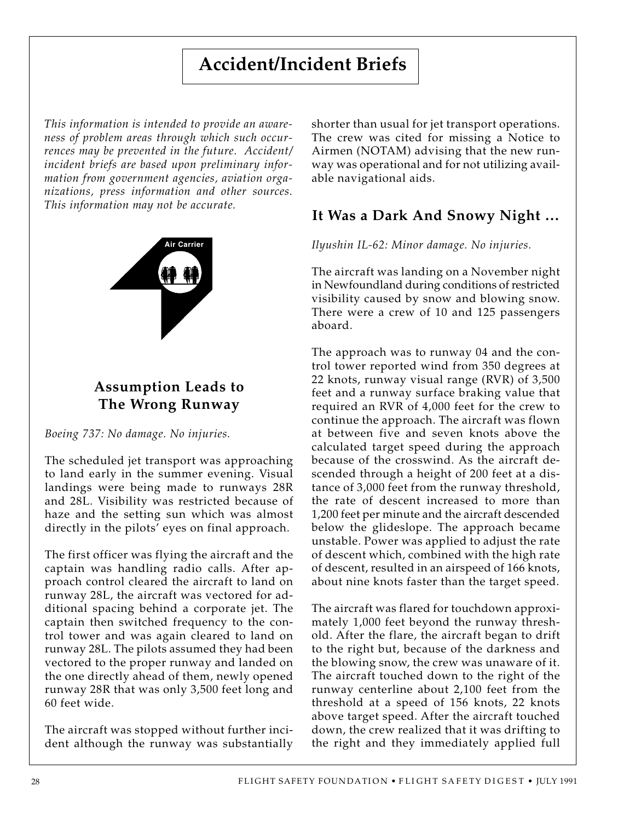## **Accident/Incident Briefs**

*This information is intended to provide an awareness of problem areas through which such occurrences may be prevented in the future. Accident/ incident briefs are based upon preliminary information from government agencies, aviation organizations, press information and other sources. This information may not be accurate.*



## **Assumption Leads to The Wrong Runway**

*Boeing 737: No damage. No injuries.*

The scheduled jet transport was approaching to land early in the summer evening. Visual landings were being made to runways 28R and 28L. Visibility was restricted because of haze and the setting sun which was almost directly in the pilots' eyes on final approach.

The first officer was flying the aircraft and the captain was handling radio calls. After approach control cleared the aircraft to land on runway 28L, the aircraft was vectored for additional spacing behind a corporate jet. The captain then switched frequency to the control tower and was again cleared to land on runway 28L. The pilots assumed they had been vectored to the proper runway and landed on the one directly ahead of them, newly opened runway 28R that was only 3,500 feet long and 60 feet wide.

The aircraft was stopped without further incident although the runway was substantially shorter than usual for jet transport operations. The crew was cited for missing a Notice to Airmen (NOTAM) advising that the new runway was operational and for not utilizing available navigational aids.

## **It Was a Dark And Snowy Night …**

*Ilyushin IL-62: Minor damage. No injuries.*

The aircraft was landing on a November night in Newfoundland during conditions of restricted visibility caused by snow and blowing snow. There were a crew of 10 and 125 passengers aboard.

The approach was to runway 04 and the control tower reported wind from 350 degrees at 22 knots, runway visual range (RVR) of 3,500 feet and a runway surface braking value that required an RVR of 4,000 feet for the crew to continue the approach. The aircraft was flown at between five and seven knots above the calculated target speed during the approach because of the crosswind. As the aircraft descended through a height of 200 feet at a distance of 3,000 feet from the runway threshold, the rate of descent increased to more than 1,200 feet per minute and the aircraft descended below the glideslope. The approach became unstable. Power was applied to adjust the rate of descent which, combined with the high rate of descent, resulted in an airspeed of 166 knots, about nine knots faster than the target speed.

The aircraft was flared for touchdown approximately 1,000 feet beyond the runway threshold. After the flare, the aircraft began to drift to the right but, because of the darkness and the blowing snow, the crew was unaware of it. The aircraft touched down to the right of the runway centerline about 2,100 feet from the threshold at a speed of 156 knots, 22 knots above target speed. After the aircraft touched down, the crew realized that it was drifting to the right and they immediately applied full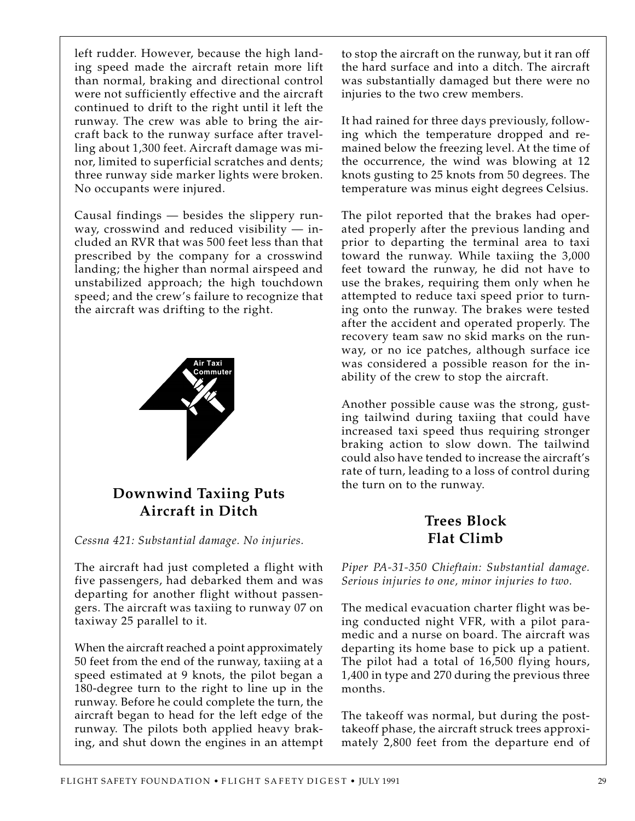left rudder. However, because the high landing speed made the aircraft retain more lift than normal, braking and directional control were not sufficiently effective and the aircraft continued to drift to the right until it left the runway. The crew was able to bring the aircraft back to the runway surface after travelling about 1,300 feet. Aircraft damage was minor, limited to superficial scratches and dents; three runway side marker lights were broken. No occupants were injured.

Causal findings — besides the slippery runway, crosswind and reduced visibility  $-$  included an RVR that was 500 feet less than that prescribed by the company for a crosswind landing; the higher than normal airspeed and unstabilized approach; the high touchdown speed; and the crew's failure to recognize that the aircraft was drifting to the right.



## **Downwind Taxiing Puts Aircraft in Ditch**

*Cessna 421: Substantial damage. No injuries.*

The aircraft had just completed a flight with five passengers, had debarked them and was departing for another flight without passengers. The aircraft was taxiing to runway 07 on taxiway 25 parallel to it.

When the aircraft reached a point approximately 50 feet from the end of the runway, taxiing at a speed estimated at 9 knots, the pilot began a 180-degree turn to the right to line up in the runway. Before he could complete the turn, the aircraft began to head for the left edge of the runway. The pilots both applied heavy braking, and shut down the engines in an attempt

to stop the aircraft on the runway, but it ran off the hard surface and into a ditch. The aircraft was substantially damaged but there were no injuries to the two crew members.

It had rained for three days previously, following which the temperature dropped and remained below the freezing level. At the time of the occurrence, the wind was blowing at 12 knots gusting to 25 knots from 50 degrees. The temperature was minus eight degrees Celsius.

The pilot reported that the brakes had operated properly after the previous landing and prior to departing the terminal area to taxi toward the runway. While taxiing the 3,000 feet toward the runway, he did not have to use the brakes, requiring them only when he attempted to reduce taxi speed prior to turning onto the runway. The brakes were tested after the accident and operated properly. The recovery team saw no skid marks on the runway, or no ice patches, although surface ice was considered a possible reason for the inability of the crew to stop the aircraft.

Another possible cause was the strong, gusting tailwind during taxiing that could have increased taxi speed thus requiring stronger braking action to slow down. The tailwind could also have tended to increase the aircraft's rate of turn, leading to a loss of control during the turn on to the runway.

## **Trees Block Flat Climb**

*Piper PA-31-350 Chieftain: Substantial damage. Serious injuries to one, minor injuries to two.*

The medical evacuation charter flight was being conducted night VFR, with a pilot paramedic and a nurse on board. The aircraft was departing its home base to pick up a patient. The pilot had a total of 16,500 flying hours, 1,400 in type and 270 during the previous three months.

The takeoff was normal, but during the posttakeoff phase, the aircraft struck trees approximately 2,800 feet from the departure end of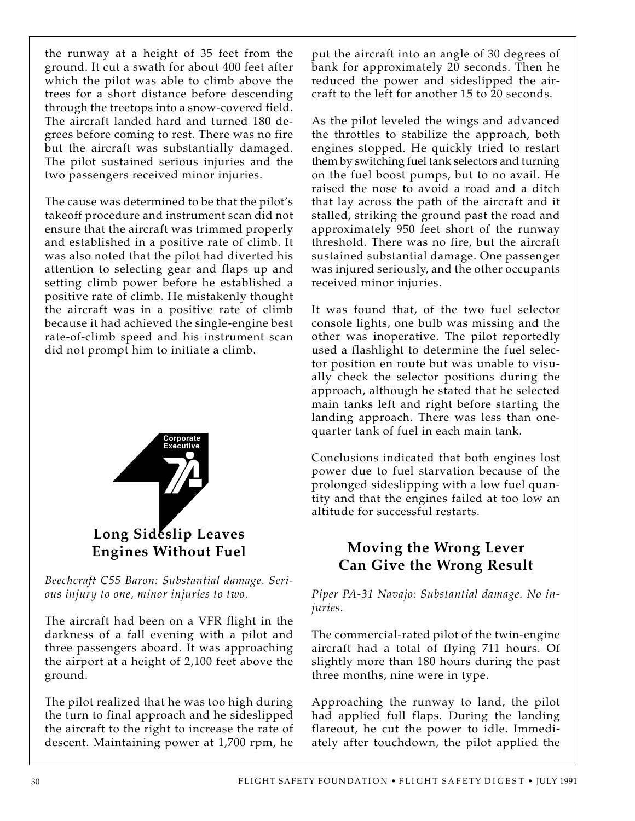the runway at a height of 35 feet from the ground. It cut a swath for about 400 feet after which the pilot was able to climb above the trees for a short distance before descending through the treetops into a snow-covered field. The aircraft landed hard and turned 180 degrees before coming to rest. There was no fire but the aircraft was substantially damaged. The pilot sustained serious injuries and the two passengers received minor injuries.

The cause was determined to be that the pilot's takeoff procedure and instrument scan did not ensure that the aircraft was trimmed properly and established in a positive rate of climb. It was also noted that the pilot had diverted his attention to selecting gear and flaps up and setting climb power before he established a positive rate of climb. He mistakenly thought the aircraft was in a positive rate of climb because it had achieved the single-engine best rate-of-climb speed and his instrument scan did not prompt him to initiate a climb.



*Beechcraft C55 Baron: Substantial damage. Serious injury to one, minor injuries to two.*

The aircraft had been on a VFR flight in the darkness of a fall evening with a pilot and three passengers aboard. It was approaching the airport at a height of 2,100 feet above the ground.

The pilot realized that he was too high during the turn to final approach and he sideslipped the aircraft to the right to increase the rate of descent. Maintaining power at 1,700 rpm, he

put the aircraft into an angle of 30 degrees of bank for approximately 20 seconds. Then he reduced the power and sideslipped the aircraft to the left for another 15 to 20 seconds.

As the pilot leveled the wings and advanced the throttles to stabilize the approach, both engines stopped. He quickly tried to restart them by switching fuel tank selectors and turning on the fuel boost pumps, but to no avail. He raised the nose to avoid a road and a ditch that lay across the path of the aircraft and it stalled, striking the ground past the road and approximately 950 feet short of the runway threshold. There was no fire, but the aircraft sustained substantial damage. One passenger was injured seriously, and the other occupants received minor injuries.

It was found that, of the two fuel selector console lights, one bulb was missing and the other was inoperative. The pilot reportedly used a flashlight to determine the fuel selector position en route but was unable to visually check the selector positions during the approach, although he stated that he selected main tanks left and right before starting the landing approach. There was less than onequarter tank of fuel in each main tank.

Conclusions indicated that both engines lost power due to fuel starvation because of the prolonged sideslipping with a low fuel quantity and that the engines failed at too low an altitude for successful restarts.

## **Moving the Wrong Lever Can Give the Wrong Result**

*Piper PA-31 Navajo: Substantial damage. No injuries.*

The commercial-rated pilot of the twin-engine aircraft had a total of flying 711 hours. Of slightly more than 180 hours during the past three months, nine were in type.

Approaching the runway to land, the pilot had applied full flaps. During the landing flareout, he cut the power to idle. Immediately after touchdown, the pilot applied the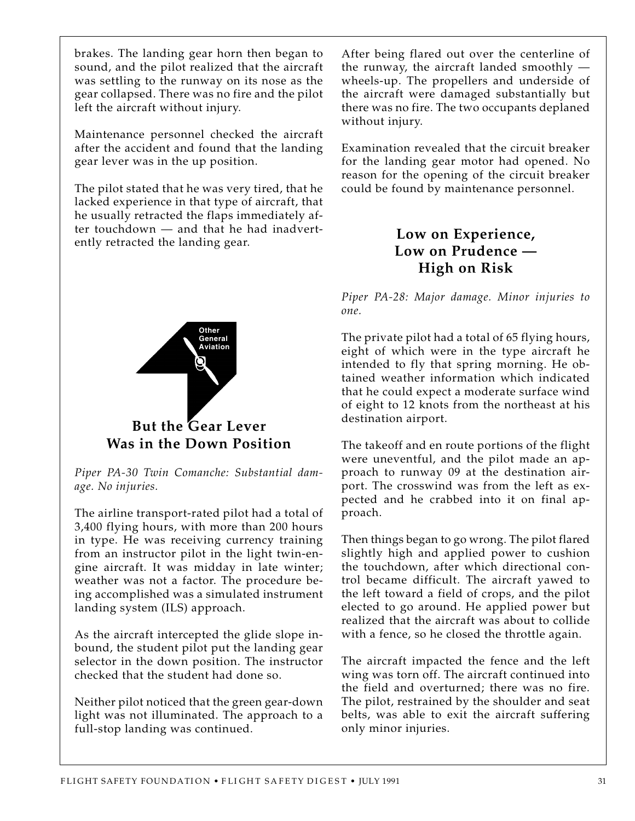brakes. The landing gear horn then began to sound, and the pilot realized that the aircraft was settling to the runway on its nose as the gear collapsed. There was no fire and the pilot left the aircraft without injury.

Maintenance personnel checked the aircraft after the accident and found that the landing gear lever was in the up position.

The pilot stated that he was very tired, that he lacked experience in that type of aircraft, that he usually retracted the flaps immediately after touchdown — and that he had inadvertently retracted the landing gear.



*Piper PA-30 Twin Comanche: Substantial damage. No injuries.*

The airline transport-rated pilot had a total of 3,400 flying hours, with more than 200 hours in type. He was receiving currency training from an instructor pilot in the light twin-engine aircraft. It was midday in late winter; weather was not a factor. The procedure being accomplished was a simulated instrument landing system (ILS) approach.

As the aircraft intercepted the glide slope inbound, the student pilot put the landing gear selector in the down position. The instructor checked that the student had done so.

Neither pilot noticed that the green gear-down light was not illuminated. The approach to a full-stop landing was continued.

After being flared out over the centerline of the runway, the aircraft landed smoothly wheels-up. The propellers and underside of the aircraft were damaged substantially but there was no fire. The two occupants deplaned without injury.

Examination revealed that the circuit breaker for the landing gear motor had opened. No reason for the opening of the circuit breaker could be found by maintenance personnel.

## **Low on Experience, Low on Prudence — High on Risk**

*Piper PA-28: Major damage. Minor injuries to one.*

The private pilot had a total of 65 flying hours, eight of which were in the type aircraft he intended to fly that spring morning. He obtained weather information which indicated that he could expect a moderate surface wind of eight to 12 knots from the northeast at his destination airport.

The takeoff and en route portions of the flight were uneventful, and the pilot made an approach to runway 09 at the destination airport. The crosswind was from the left as expected and he crabbed into it on final approach.

Then things began to go wrong. The pilot flared slightly high and applied power to cushion the touchdown, after which directional control became difficult. The aircraft yawed to the left toward a field of crops, and the pilot elected to go around. He applied power but realized that the aircraft was about to collide with a fence, so he closed the throttle again.

The aircraft impacted the fence and the left wing was torn off. The aircraft continued into the field and overturned; there was no fire. The pilot, restrained by the shoulder and seat belts, was able to exit the aircraft suffering only minor injuries.